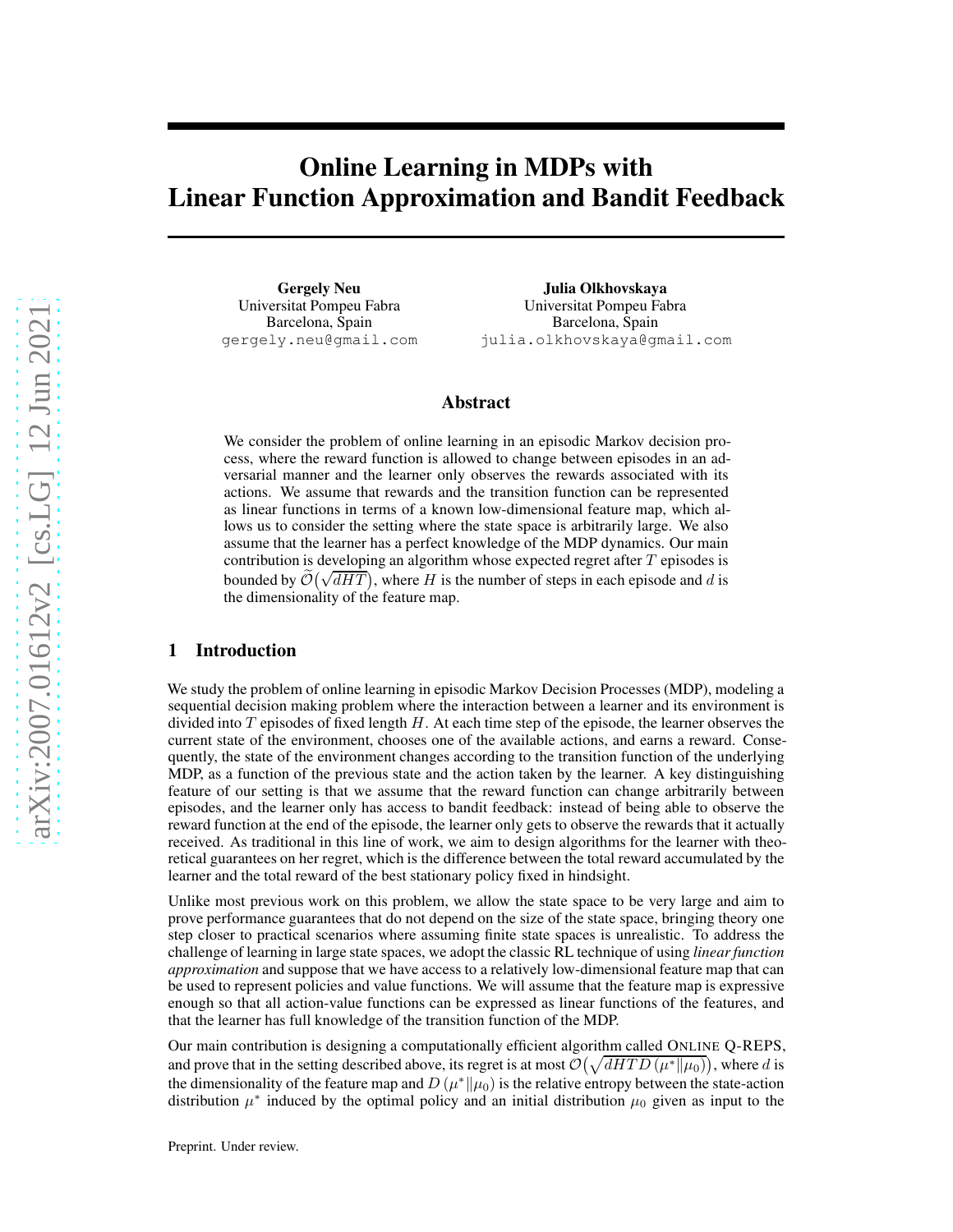# Online Learning in MDPs with Linear Function Approximation and Bandit Feedback

Gergely Neu Universitat Pompeu Fabra Barcelona, Spain gergely.neu@gmail.com

Julia Olkhovskaya Universitat Pompeu Fabra Barcelona, Spain julia.olkhovskaya@gmail.com

## Abstract

We consider the problem of online learning in an episodic Markov decision process, where the reward function is allowed to change between episodes in an adversarial manner and the learner only observes the rewards associated with its actions. We assume that rewards and the transition function can be represented as linear functions in terms of a known low-dimensional feature map, which allows us to consider the setting where the state space is arbitrarily large. We also assume that the learner has a perfect knowledge of the MDP dynamics. Our main contribution is developing an algorithm whose expected regret after T episodes is bounded by  $\widetilde{\mathcal{O}}(\sqrt{dHT})$ , where H is the number of steps in each episode and d is the dimensionality of the feature map.

# 1 Introduction

We study the problem of online learning in episodic Markov Decision Processes (MDP), modeling a sequential decision making problem where the interaction between a learner and its environment is divided into  $T$  episodes of fixed length  $H$ . At each time step of the episode, the learner observes the current state of the environment, chooses one of the available actions, and earns a reward. Consequently, the state of the environment changes according to the transition function of the underlying MDP, as a function of the previous state and the action taken by the learner. A key distinguishing feature of our setting is that we assume that the reward function can change arbitrarily between episodes, and the learner only has access to bandit feedback: instead of being able to observe the reward function at the end of the episode, the learner only gets to observe the rewards that it actually received. As traditional in this line of work, we aim to design algorithms for the learner with theoretical guarantees on her regret, which is the difference between the total reward accumulated by the learner and the total reward of the best stationary policy fixed in hindsight.

Unlike most previous work on this problem, we allow the state space to be very large and aim to prove performance guarantees that do not depend on the size of the state space, bringing theory one step closer to practical scenarios where assuming finite state spaces is unrealistic. To address the challenge of learning in large state spaces, we adopt the classic RL technique of using *linear function approximation* and suppose that we have access to a relatively low-dimensional feature map that can be used to represent policies and value functions. We will assume that the feature map is expressive enough so that all action-value functions can be expressed as linear functions of the features, and that the learner has full knowledge of the transition function of the MDP.

Our main contribution is designing a computationally efficient algorithm called ONLINE Q-REPS, and prove that in the setting described above, its regret is at most  $\mathcal{O}(\sqrt{dHTD(\mu^*||\mu_0)})$ , where d is the dimensionality of the feature map and  $D(\mu^*||\mu_0)$  is the relative entropy between the state-action distribution  $\mu^*$  induced by the optimal policy and an initial distribution  $\mu_0$  given as input to the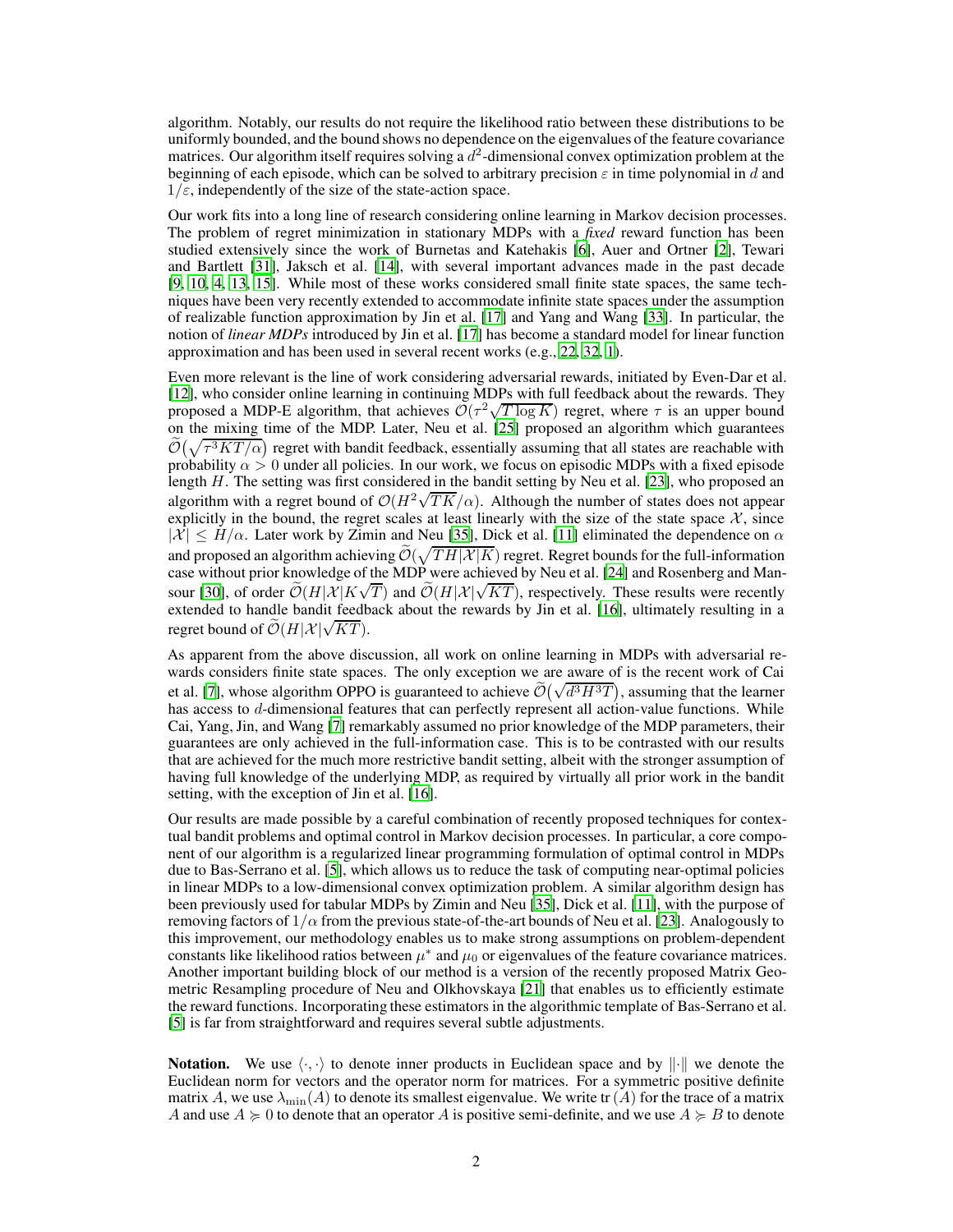algorithm. Notably, our results do not require the likelihood ratio between these distributions to be uniformly bounded, and the bound shows no dependence on the eigenvalues of the feature covariance matrices. Our algorithm itself requires solving a  $d^2$ -dimensional convex optimization problem at the beginning of each episode, which can be solved to arbitrary precision  $\varepsilon$  in time polynomial in d and  $1/\varepsilon$ , independently of the size of the state-action space.

Our work fits into a long line of research considering online learning in Markov decision processes. The problem of regret minimization in stationary MDPs with a *fixed* reward function has been studied extensively since the work of Burnetas and Katehakis [\[6\]](#page-9-0), Auer and Ortner [\[2](#page-9-1)], Tewari and Bartlett [\[31](#page-10-0)], Jaksch et al. [\[14\]](#page-10-1), with several important advances made in the past decade [\[9](#page-9-2), [10](#page-9-3), [4,](#page-9-4) [13,](#page-9-5) [15](#page-10-2)]. While most of these works considered small finite state spaces, the same techniques have been very recently extended to accommodate infinite state spaces under the assumption of realizable function approximation by Jin et al. [\[17](#page-10-3)] and Yang and Wang [\[33\]](#page-11-0). In particular, the notion of *linear MDPs* introduced by Jin et al. [\[17\]](#page-10-3) has become a standard model for linear function approximation and has been used in several recent works (e.g., [22](#page-10-4), [32,](#page-10-5) [1\)](#page-9-6).

Even more relevant is the line of work considering adversarial rewards, initiated by Even-Dar et al. [12], who consider online learning in continuing MDPs with full feedback about the rewards. They proposed a MDP-E algorithm, that achieves  $O(\tau^2 \sqrt{T \log K})$  regret, where  $\tau$  is an upper bound on the mixing time of the MDP. Later, Neu et al. [\[25\]](#page-10-6) proposed an algorithm which guarantees  $\widetilde{\mathcal{O}}(\sqrt{\tau^3KT/\alpha})$  regret with bandit feedback, essentially assuming that all states are reachable with probability  $\alpha > 0$  under all policies. In our work, we focus on episodic MDPs with a fixed episode length H. The setting was first considered in the bandit setting by Neu et al. [\[23\]](#page-10-7), who proposed an algorithm with a regret bound of  $\mathcal{O}(H^2\sqrt{TK}/\alpha)$ . Although the number of states does not appear explicitly in the bound, the regret scales at least linearly with the size of the state space  $\mathcal{X}$ , since  $|\mathcal{X}| \leq H/\alpha$ . Later work by Zimin and Neu [\[35](#page-11-1)], Dick et al. [\[11\]](#page-9-7) eliminated the dependence on  $\alpha$ and proposed an algorithm achieving  $\widetilde{\mathcal{O}}(\sqrt{TH|\mathcal{X}|K})$  regret. Regret bounds for the full-information case without prior knowledge of the MDP were achieved by Neu et al. [\[24\]](#page-10-8) and Rosenberg and Man-sour [\[30\]](#page-10-9), of order  $\widetilde{\mathcal{O}}(H|\mathcal{X}|K\sqrt{T})$  and  $\widetilde{\mathcal{O}}(H|\mathcal{X}|\sqrt{KT})$ , respectively. These results were recently extended to handle bandit feedback about the rewards by Jin et al. [\[16\]](#page-10-10), ultimately resulting in a regret bound of  $\widetilde{\mathcal{O}}(H|\mathcal{X}|\sqrt{KT})$ .

As apparent from the above discussion, all work on online learning in MDPs with adversarial rewards considers finite state spaces. The only exception we are aware of is the recent work of Cai et al. [\[7](#page-9-8)], whose algorithm OPPO is guaranteed to achieve  $\tilde{O}(\sqrt{d^3H^3T})$ , assuming that the learner has access to d-dimensional features that can perfectly represent all action-value functions. While Cai, Yang, Jin, and Wang [\[7\]](#page-9-8) remarkably assumed no prior knowledge of the MDP parameters, their guarantees are only achieved in the full-information case. This is to be contrasted with our results that are achieved for the much more restrictive bandit setting, albeit with the stronger assumption of having full knowledge of the underlying MDP, as required by virtually all prior work in the bandit setting, with the exception of Jin et al. [\[16\]](#page-10-10).

Our results are made possible by a careful combination of recently proposed techniques for contextual bandit problems and optimal control in Markov decision processes. In particular, a core component of our algorithm is a regularized linear programming formulation of optimal control in MDPs due to Bas-Serrano et al. [\[5\]](#page-9-9), which allows us to reduce the task of computing near-optimal policies in linear MDPs to a low-dimensional convex optimization problem. A similar algorithm design has been previously used for tabular MDPs by Zimin and Neu [\[35](#page-11-1)], Dick et al. [\[11\]](#page-9-7), with the purpose of removing factors of  $1/\alpha$  from the previous state-of-the-art bounds of Neu et al. [\[23\]](#page-10-7). Analogously to this improvement, our methodology enables us to make strong assumptions on problem-dependent constants like likelihood ratios between  $\mu^*$  and  $\mu_0$  or eigenvalues of the feature covariance matrices. Another important building block of our method is a version of the recently proposed Matrix Geometric Resampling procedure of Neu and Olkhovskaya [\[21\]](#page-10-11) that enables us to efficiently estimate the reward functions. Incorporating these estimators in the algorithmic template of Bas-Serrano et al. [\[5](#page-9-9)] is far from straightforward and requires several subtle adjustments.

**Notation.** We use  $\langle \cdot, \cdot \rangle$  to denote inner products in Euclidean space and by  $\|\cdot\|$  we denote the Euclidean norm for vectors and the operator norm for matrices. For a symmetric positive definite matrix A, we use  $\lambda_{\min}(A)$  to denote its smallest eigenvalue. We write tr(A) for the trace of a matrix A and use  $A \ge 0$  to denote that an operator A is positive semi-definite, and we use  $A \ge B$  to denote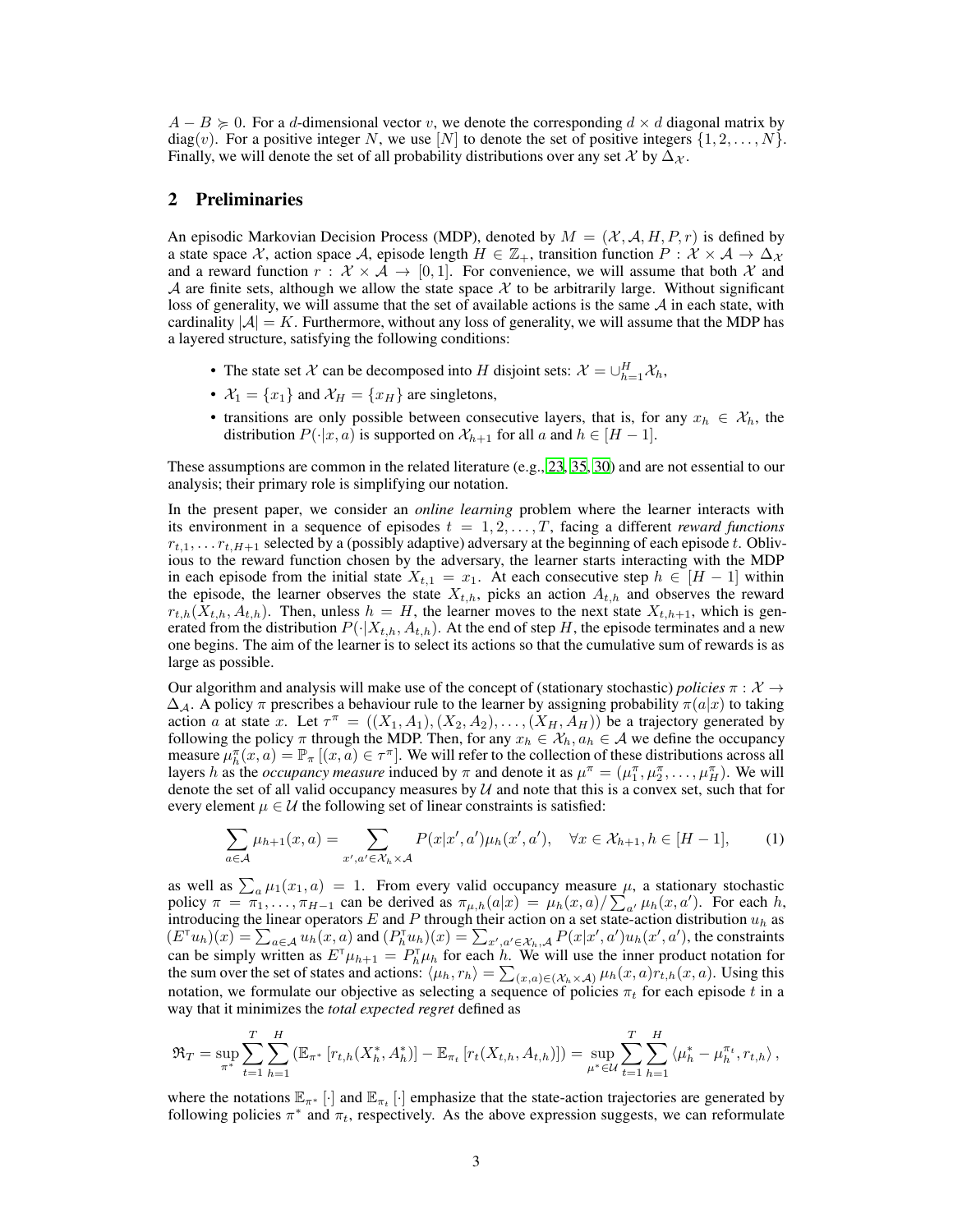$A - B \ge 0$ . For a d-dimensional vector v, we denote the corresponding  $d \times d$  diagonal matrix by diag(v). For a positive integer N, we use [N] to denote the set of positive integers  $\{1, 2, \ldots, N\}$ . Finally, we will denote the set of all probability distributions over any set X by  $\Delta_{\mathcal{X}}$ .

## 2 Preliminaries

An episodic Markovian Decision Process (MDP), denoted by  $M = (\mathcal{X}, \mathcal{A}, H, P, r)$  is defined by a state space X, action space A, episode length  $H \in \mathbb{Z}_+$ , transition function  $P : \mathcal{X} \times \mathcal{A} \to \Delta_{\mathcal{X}}$ and a reward function  $r : \mathcal{X} \times \mathcal{A} \rightarrow [0, 1]$ . For convenience, we will assume that both X and A are finite sets, although we allow the state space  $X$  to be arbitrarily large. Without significant loss of generality, we will assume that the set of available actions is the same  $A$  in each state, with cardinality  $|A| = K$ . Furthermore, without any loss of generality, we will assume that the MDP has a layered structure, satisfying the following conditions:

- The state set X can be decomposed into H disjoint sets:  $X = \bigcup_{h=1}^{H} X_h$ ,
- $\mathcal{X}_1 = \{x_1\}$  and  $\mathcal{X}_H = \{x_1\}$  are singletons,
- transitions are only possible between consecutive layers, that is, for any  $x_h \in \mathcal{X}_h$ , the distribution  $P(\cdot|x, a)$  is supported on  $\mathcal{X}_{h+1}$  for all a and  $h \in [H-1]$ .

These assumptions are common in the related literature (e.g., [23](#page-10-7), [35](#page-11-1), [30](#page-10-9)) and are not essential to our analysis; their primary role is simplifying our notation.

In the present paper, we consider an *online learning* problem where the learner interacts with its environment in a sequence of episodes  $t = 1, 2, \ldots, T$ , facing a different *reward functions*  $r_{t,1}, \ldots, r_{t,H+1}$  selected by a (possibly adaptive) adversary at the beginning of each episode t. Oblivious to the reward function chosen by the adversary, the learner starts interacting with the MDP in each episode from the initial state  $X_{t,1} = x_1$ . At each consecutive step  $h \in [H-1]$  within the episode, the learner observes the state  $X_{t,h}$ , picks an action  $A_{t,h}$  and observes the reward  $r_{t,h}(X_{t,h}, A_{t,h})$ . Then, unless  $h = H$ , the learner moves to the next state  $X_{t,h+1}$ , which is generated from the distribution  $P(\cdot|X_{t,h}, A_{t,h})$ . At the end of step H, the episode terminates and a new one begins. The aim of the learner is to select its actions so that the cumulative sum of rewards is as large as possible.

Our algorithm and analysis will make use of the concept of (stationary stochastic) *policies*  $\pi : \mathcal{X} \to$  $\Delta_{\mathcal{A}}$ . A policy  $\pi$  prescribes a behaviour rule to the learner by assigning probability  $\pi(a|x)$  to taking action a at state x. Let  $\tau^{\pi} = ((X_1, A_1), (X_2, A_2), \ldots, (X_H, A_H))$  be a trajectory generated by following the policy  $\pi$  through the MDP. Then, for any  $x_h \in \mathcal{X}_h$ ,  $a_h \in \mathcal{A}$  we define the occupancy measure  $\mu_h^{\pi}(x, a) = \mathbb{P}_{\pi} [(x, a) \in \tau^{\pi}]$ . We will refer to the collection of these distributions across all layers h as the *occupancy measure* induced by  $\pi$  and denote it as  $\mu^{\pi} = (\mu_1^{\pi}, \mu_2^{\pi}, \dots, \mu_H^{\pi})$ . We will denote the set of all valid occupancy measures by  $U$  and note that this is a convex set, such that for every element  $\mu \in \mathcal{U}$  the following set of linear constraints is satisfied:

<span id="page-2-0"></span>
$$
\sum_{a\in\mathcal{A}}\mu_{h+1}(x,a) = \sum_{x',a'\in\mathcal{X}_h\times\mathcal{A}} P(x|x',a')\mu_h(x',a'), \quad \forall x\in\mathcal{X}_{h+1}, h\in[H-1],\tag{1}
$$

as well as  $\sum_a \mu_1(x_1, a) = 1$ . From every valid occupancy measure  $\mu$ , a stationary stochastic policy  $\pi = \pi_1, \ldots, \pi_{H-1}$  can be derived as  $\pi_{\mu,h}(a|x) = \mu_h(x, a) / \sum_{a'} \mu_h(x, a')$ . For each h, introducing the linear operators E and P through their action on a set state-action distribution  $u_h$  as  $(E^{\dagger}u_h)(x) = \sum_{a \in \mathcal{A}} u_h(x, a)$  and  $(P_h^{\dagger}u_h)(x) = \sum_{x', a' \in \mathcal{X}_h, \mathcal{A}} P(x|x', a')u_h(x', a')$ , the constraints can be simply written as  $E^{\dagger} \mu_{h+1} = P_h^{\dagger} \mu_h$  for each h. We will use the inner product notation for the sum over the set of states and actions:  $\langle \mu_h, r_h \rangle = \sum_{(x,a) \in (\mathcal{X}_h \times \mathcal{A})} \mu_h(x,a) r_{t,h}(x,a)$ . Using this notation, we formulate our objective as selecting a sequence of policies  $\pi_t$  for each episode t in a way that it minimizes the *total expected regret* defined as

$$
\mathfrak{R}_T = \sup_{\pi^*} \sum_{t=1}^T \sum_{h=1}^H \left( \mathbb{E}_{\pi^*} \left[ r_{t,h}(X_h^*, A_h^*) \right] - \mathbb{E}_{\pi_t} \left[ r_t(X_{t,h}, A_{t,h}) \right] \right) = \sup_{\mu^* \in \mathcal{U}} \sum_{t=1}^T \sum_{h=1}^H \left\langle \mu_h^* - \mu_h^{\pi_t}, r_{t,h} \right\rangle,
$$

where the notations  $\mathbb{E}_{\pi^*}$  [·] and  $\mathbb{E}_{\pi_t}$  [·] emphasize that the state-action trajectories are generated by following policies  $\pi^*$  and  $\pi_t$ , respectively. As the above expression suggests, we can reformulate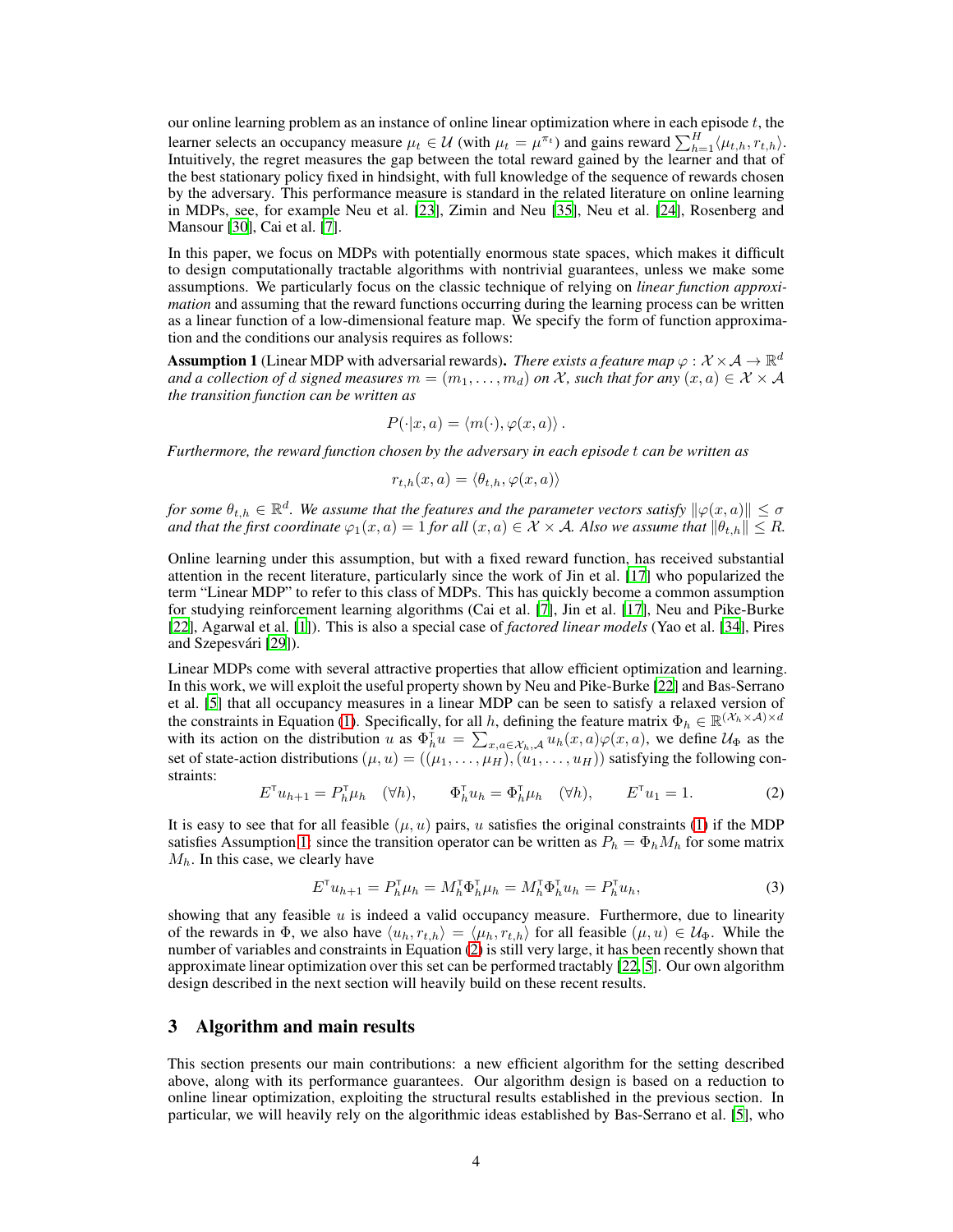our online learning problem as an instance of online linear optimization where in each episode  $t$ , the learner selects an occupancy measure  $\mu_t \in \mathcal{U}$  (with  $\mu_t = \mu^{\pi_t}$ ) and gains reward  $\sum_{h=1}^{H} \langle \mu_{t,h}, r_{t,h} \rangle$ .<br>Intuitively, the regret measures the gap between the total reward gained by the learner and that of the best stationary policy fixed in hindsight, with full knowledge of the sequence of rewards chosen by the adversary. This performance measure is standard in the related literature on online learning in MDPs, see, for example Neu et al. [\[23](#page-10-7)], Zimin and Neu [\[35\]](#page-11-1), Neu et al. [\[24\]](#page-10-8), Rosenberg and Mansour [\[30](#page-10-9)], Cai et al. [\[7\]](#page-9-8).

In this paper, we focus on MDPs with potentially enormous state spaces, which makes it difficult to design computationally tractable algorithms with nontrivial guarantees, unless we make some assumptions. We particularly focus on the classic technique of relying on *linear function approximation* and assuming that the reward functions occurring during the learning process can be written as a linear function of a low-dimensional feature map. We specify the form of function approximation and the conditions our analysis requires as follows:

<span id="page-3-0"></span>**Assumption 1** (Linear MDP with adversarial rewards). *There exists a feature map*  $\varphi : \mathcal{X} \times \mathcal{A} \to \mathbb{R}^d$ *and a collection of d signed measures*  $m = (m_1, \ldots, m_d)$  *on* X, such that for any  $(x, a) \in X \times A$ *the transition function can be written as*

$$
P(\cdot|x,a) = \langle m(\cdot), \varphi(x,a) \rangle.
$$

*Furthermore, the reward function chosen by the adversary in each episode* t *can be written as*

$$
r_{t,h}(x,a) = \langle \theta_{t,h}, \varphi(x,a) \rangle
$$

*for some*  $\theta_{t,h} \in \mathbb{R}^d$ . We assume that the features and the parameter vectors satisfy  $\|\varphi(x, a)\| \leq \sigma$ *and that the first coordinate*  $\varphi_1(x, a) = 1$  *for all*  $(x, a) \in \mathcal{X} \times \mathcal{A}$ *. Also we assume that*  $\|\theta_{t,h}\| \leq R$ *.* 

Online learning under this assumption, but with a fixed reward function, has received substantial attention in the recent literature, particularly since the work of Jin et al. [\[17](#page-10-3)] who popularized the term "Linear MDP" to refer to this class of MDPs. This has quickly become a common assumption for studying reinforcement learning algorithms (Cai et al. [\[7\]](#page-9-8), Jin et al. [\[17\]](#page-10-3), Neu and Pike-Burke [\[22](#page-10-4)], Agarwal et al. [\[1\]](#page-9-6)). This is also a special case of *factored linear models* (Yao et al. [\[34\]](#page-11-2), Pires and Szepesvári [\[29\]](#page-10-12)).

Linear MDPs come with several attractive properties that allow efficient optimization and learning. In this work, we will exploit the useful property shown by Neu and Pike-Burke [\[22\]](#page-10-4) and Bas-Serrano et al. [\[5\]](#page-9-9) that all occupancy measures in a linear MDP can be seen to satisfy a relaxed version of the constraints in Equation [\(1\)](#page-2-0). Specifically, for all h, defining the feature matrix  $\Phi_h \in \mathbb{R}^{(\mathcal{X}_h \times \mathcal{A}) \times d}$ with its action on the distribution u as  $\Phi_h^{\dagger} u = \sum_{x, a \in \mathcal{X}_h, \mathcal{A}} u_h(x, a) \varphi(x, a)$ , we define  $\mathcal{U}_{\Phi}$  as the set of state-action distributions  $(\mu, u) = ((\mu_1, \dots, \mu_H), (u_1, \dots, u_H))$  satisfying the following constraints:

<span id="page-3-1"></span>
$$
E^{\mathsf{T}} u_{h+1} = P_h^{\mathsf{T}} \mu_h \quad (\forall h), \qquad \Phi_h^{\mathsf{T}} u_h = \Phi_h^{\mathsf{T}} \mu_h \quad (\forall h), \qquad E^{\mathsf{T}} u_1 = 1. \tag{2}
$$

It is easy to see that for all feasible  $(\mu, u)$  pairs, u satisfies the original constraints [\(1\)](#page-2-0) if the MDP satisfies Assumption [1:](#page-3-0) since the transition operator can be written as  $P_h = \Phi_h M_h$  for some matrix  $M_h$ . In this case, we clearly have

<span id="page-3-2"></span>
$$
E^{\mathsf{T}} u_{h+1} = P_h^{\mathsf{T}} \mu_h = M_h^{\mathsf{T}} \Phi_h^{\mathsf{T}} \mu_h = M_h^{\mathsf{T}} \Phi_h^{\mathsf{T}} u_h = P_h^{\mathsf{T}} u_h,\tag{3}
$$

showing that any feasible  $u$  is indeed a valid occupancy measure. Furthermore, due to linearity of the rewards in  $\Phi$ , we also have  $\langle u_h, r_{t,h} \rangle = \langle \mu_h, r_{t,h} \rangle$  for all feasible  $(\mu, u) \in \mathcal{U}_{\Phi}$ . While the number of variables and constraints in Equation [\(2\)](#page-3-1) is still very large, it has been recently shown that approximate linear optimization over this set can be performed tractably [\[22,](#page-10-4) [5\]](#page-9-9). Our own algorithm design described in the next section will heavily build on these recent results.

## 3 Algorithm and main results

This section presents our main contributions: a new efficient algorithm for the setting described above, along with its performance guarantees. Our algorithm design is based on a reduction to online linear optimization, exploiting the structural results established in the previous section. In particular, we will heavily rely on the algorithmic ideas established by Bas-Serrano et al. [\[5](#page-9-9)], who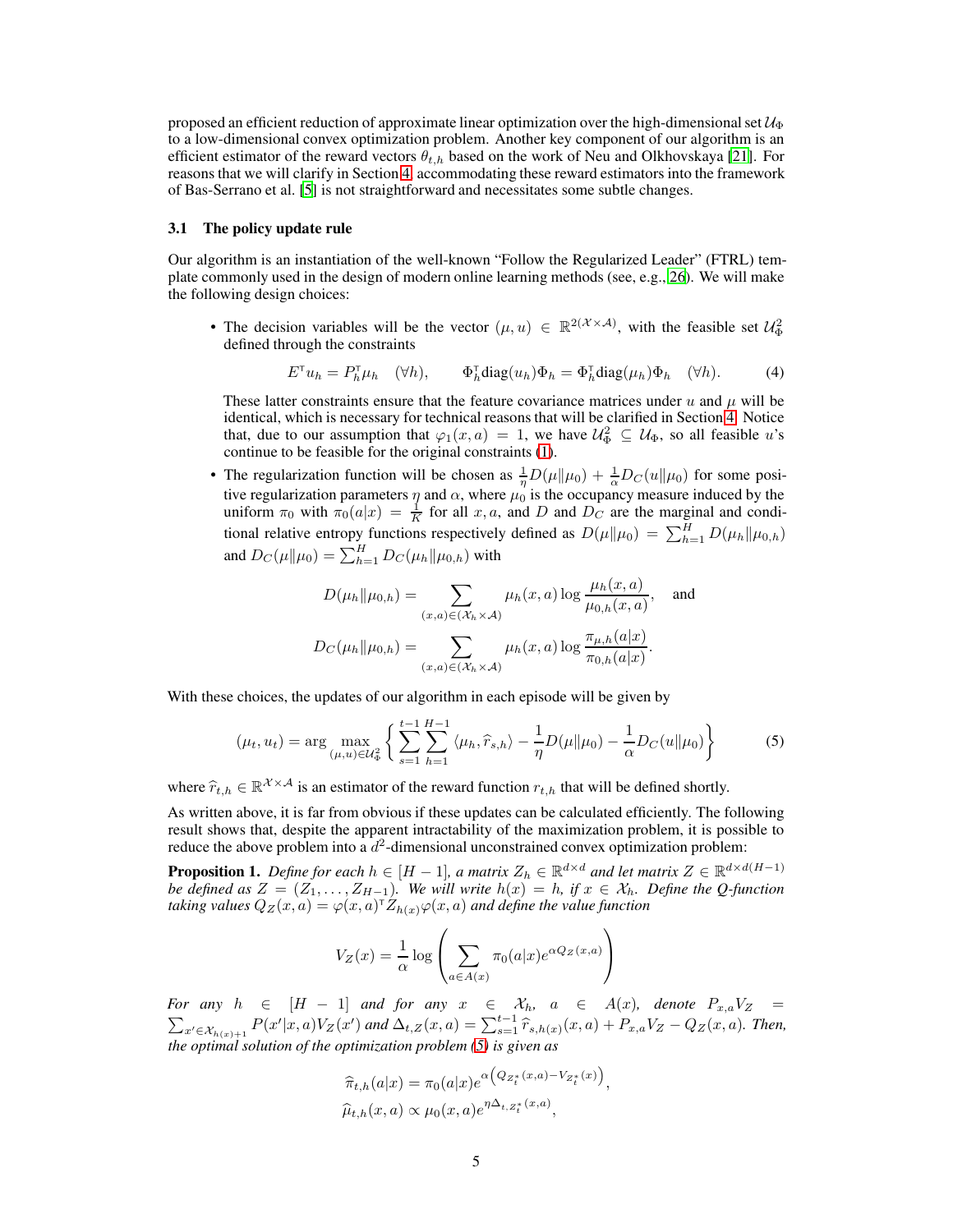proposed an efficient reduction of approximate linear optimization over the high-dimensional set  $\mathcal{U}_{\Phi}$ to a low-dimensional convex optimization problem. Another key component of our algorithm is an efficient estimator of the reward vectors  $\theta_{t,h}$  based on the work of Neu and Olkhovskaya [\[21\]](#page-10-11). For reasons that we will clarify in Section [4,](#page-7-0) accommodating these reward estimators into the framework of Bas-Serrano et al. [\[5\]](#page-9-9) is not straightforward and necessitates some subtle changes.

## 3.1 The policy update rule

Our algorithm is an instantiation of the well-known "Follow the Regularized Leader" (FTRL) template commonly used in the design of modern online learning methods (see, e.g., [26\)](#page-10-13). We will make the following design choices:

• The decision variables will be the vector  $(\mu, u) \in \mathbb{R}^{2(\mathcal{X} \times \mathcal{A})}$ , with the feasible set  $\mathcal{U}_{\Phi}^2$ defined through the constraints

<span id="page-4-2"></span>
$$
E^{\mathsf{T}} u_h = P_h^{\mathsf{T}} \mu_h \quad (\forall h), \qquad \Phi_h^{\mathsf{T}} \text{diag}(u_h) \Phi_h = \Phi_h^{\mathsf{T}} \text{diag}(\mu_h) \Phi_h \quad (\forall h). \tag{4}
$$

These latter constraints ensure that the feature covariance matrices under u and  $\mu$  will be identical, which is necessary for technical reasons that will be clarified in Section [4.](#page-7-0) Notice that, due to our assumption that  $\varphi_1(x, a) = 1$ , we have  $\mathcal{U}^2_{\Phi} \subseteq \mathcal{U}_{\Phi}$ , so all feasible u's continue to be feasible for the original constraints [\(1\)](#page-2-0).

• The regularization function will be chosen as  $\frac{1}{\eta}D(\mu||\mu_0) + \frac{1}{\alpha}D_C(u||\mu_0)$  for some positive regularization parameters  $\eta$  and  $\alpha$ , where  $\mu_0$  is the occupancy measure induced by the uniform  $\pi_0$  with  $\pi_0(a|x) = \frac{1}{K}$  for all x, a, and D and  $D_C$  are the marginal and conditional relative entropy functions respectively defined as  $D(\mu \| \mu_0) = \sum_{h=1}^{H} D(\mu_h \| \mu_{0,h})$ and  $D_C(\mu||\mu_0) = \sum_{h=1}^H D_C(\mu_h||\mu_{0,h})$  with

$$
D(\mu_h \| \mu_{0,h}) = \sum_{(x,a) \in (\mathcal{X}_h \times \mathcal{A})} \mu_h(x,a) \log \frac{\mu_h(x,a)}{\mu_{0,h}(x,a)}, \text{ and}
$$

$$
D_C(\mu_h \| \mu_{0,h}) = \sum_{(x,a) \in (\mathcal{X}_h \times \mathcal{A})} \mu_h(x,a) \log \frac{\pi_{\mu,h}(a|x)}{\pi_{0,h}(a|x)}.
$$

With these choices, the updates of our algorithm in each episode will be given by

$$
(\mu_t, u_t) = \arg \max_{(\mu, u) \in \mathcal{U}_{\Phi}^2} \left\{ \sum_{s=1}^{t-1} \sum_{h=1}^{H-1} \langle \mu_h, \hat{r}_{s,h} \rangle - \frac{1}{\eta} D(\mu \| \mu_0) - \frac{1}{\alpha} D_C(u \| \mu_0) \right\}
$$
(5)

where  $\hat{r}_{t,h} \in \mathbb{R}^{\mathcal{X} \times \mathcal{A}}$  is an estimator of the reward function  $r_{t,h}$  that will be defined shortly.

As written above, it is far from obvious if these updates can be calculated efficiently. The following result shows that, despite the apparent intractability of the maximization problem, it is possible to reduce the above problem into a  $d^2$ -dimensional unconstrained convex optimization problem:

<span id="page-4-1"></span>**Proposition 1.** *Define for each*  $h \in [H-1]$ *, a matrix*  $Z_h \in \mathbb{R}^{d \times d}$  *and let matrix*  $Z \in \mathbb{R}^{d \times d(H-1)}$ *be defined as*  $Z = (Z_1, \ldots, Z_{H-1})$ . We will write  $h(x) = h$ , if  $x \in \mathcal{X}_h$ . Define the Q-function taking values  $Q_Z(x,a) = \varphi(x,a)^\intercal Z_{h(x)} \varphi(x,a)$  and define the value function

<span id="page-4-0"></span>
$$
V_Z(x) = \frac{1}{\alpha} \log \left( \sum_{a \in A(x)} \pi_0(a|x) e^{\alpha Q_Z(x,a)} \right)
$$

*For any*  $h \in [H - 1]$  *and for any*  $x \in \mathcal{X}_h$ ,  $a \in A(x)$ , denote  $P_{x,a}V_Z = \sum_{x' \in \mathcal{X}_{h(x)+1}} P(x'|x, a)V_Z(x')$  *and*  $\Delta_{t,Z}(x, a) = \sum_{s=1}^{t-1} \hat{r}_{s,h(x)}(x, a) + P_{x,a}V_Z - Q_Z(x, a)$ . *Then, the optimal solution of the optimization problem [\(5\)](#page-4-0) is given as*

$$
\widehat{\pi}_{t,h}(a|x) = \pi_0(a|x)e^{\alpha\left(Q_{Z_t^*}(x,a) - V_{Z_t^*}(x)\right)},
$$
  

$$
\widehat{\mu}_{t,h}(x,a) \propto \mu_0(x,a)e^{\eta\Delta_{t,Z_t^*}(x,a)},
$$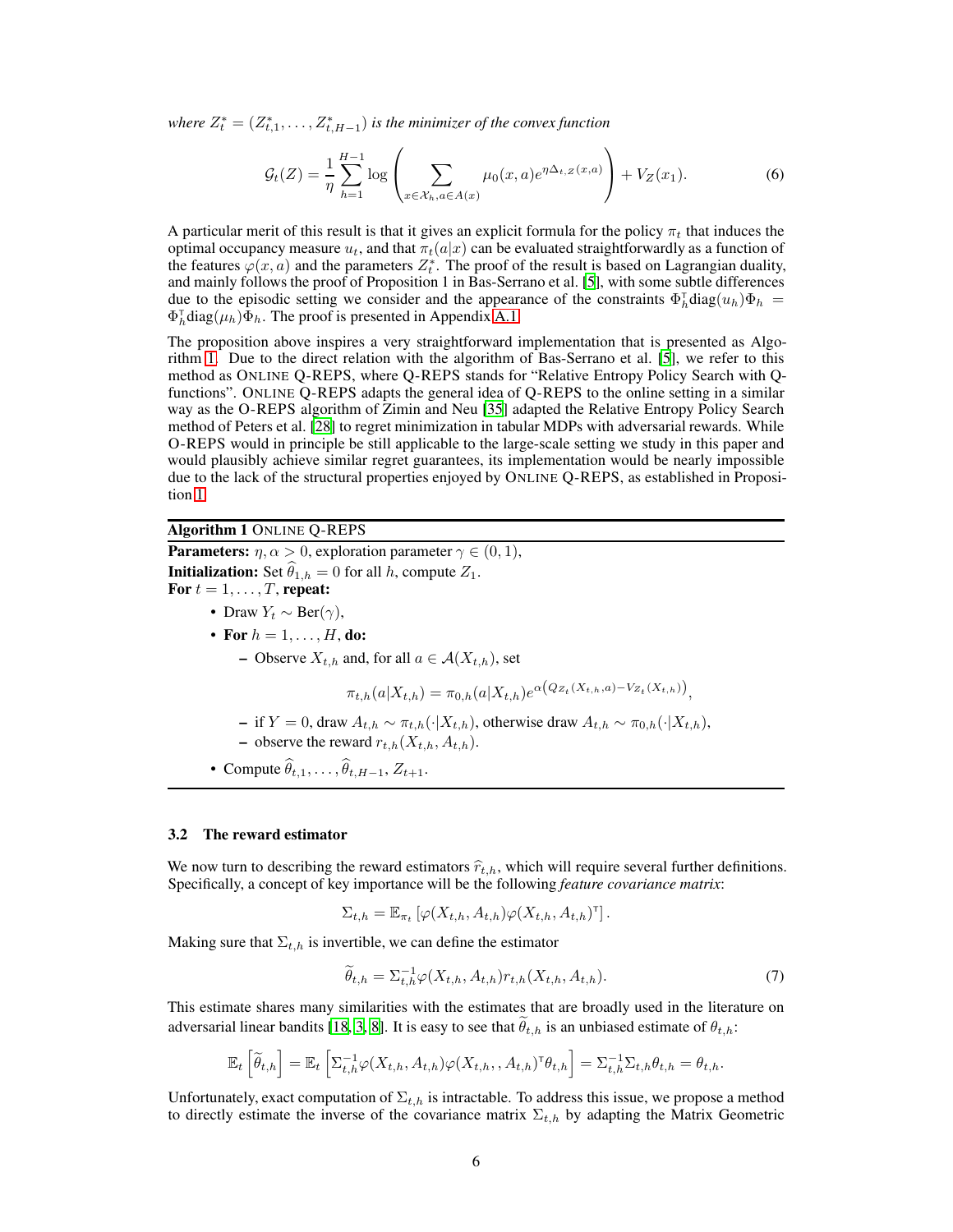where  $Z_t^* = (Z_{t,1}^*, \ldots, Z_{t,H-1}^*)$  *is the minimizer of the convex function* 

$$
\mathcal{G}_t(Z) = \frac{1}{\eta} \sum_{h=1}^{H-1} \log \left( \sum_{x \in \mathcal{X}_h, a \in A(x)} \mu_0(x, a) e^{\eta \Delta_{t, Z}(x, a)} \right) + V_Z(x_1).
$$
 (6)

A particular merit of this result is that it gives an explicit formula for the policy  $\pi_t$  that induces the optimal occupancy measure  $u_t$ , and that  $\pi_t(a|x)$  can be evaluated straightforwardly as a function of the features  $\varphi(x, a)$  and the parameters  $Z_t^*$ . The proof of the result is based on Lagrangian duality, and mainly follows the proof of Proposition 1 in Bas-Serrano et al. [\[5](#page-9-9)], with some subtle differences due to the episodic setting we consider and the appearance of the constraints  $\Phi_h^{\dagger}$ diag $(u_h)\Phi_h =$  $\Phi_h^{\dagger}$ diag $(\mu_h)\bar{\Phi}_h$ . The proof is presented in Appendix [A.1.](#page-12-0)

The proposition above inspires a very straightforward implementation that is presented as Algorithm [1.](#page-5-0) Due to the direct relation with the algorithm of Bas-Serrano et al. [\[5](#page-9-9)], we refer to this method as ONLINE Q-REPS, where Q-REPS stands for "Relative Entropy Policy Search with Qfunctions". ONLINE Q-REPS adapts the general idea of Q-REPS to the online setting in a similar way as the O-REPS algorithm of Zimin and Neu [\[35](#page-11-1)] adapted the Relative Entropy Policy Search method of Peters et al. [\[28\]](#page-10-14) to regret minimization in tabular MDPs with adversarial rewards. While O-REPS would in principle be still applicable to the large-scale setting we study in this paper and would plausibly achieve similar regret guarantees, its implementation would be nearly impossible due to the lack of the structural properties enjoyed by ONLINE Q-REPS, as established in Proposition [1.](#page-4-1)

## <span id="page-5-0"></span>Algorithm 1 ONLINE Q-REPS

**Parameters:**  $\eta, \alpha > 0$ , exploration parameter  $\gamma \in (0, 1)$ , **Initialization:** Set  $\hat{\theta}_{1,h} = 0$  for all h, compute  $Z_1$ . For  $t = 1, \ldots, T$ , repeat: • Draw  $Y_t \sim \text{Ber}(\gamma)$ , • For  $h = 1, \ldots, H$ , do:

– Observe  $X_{t,h}$  and, for all  $a \in \mathcal{A}(X_{t,h})$ , set

$$
\pi_{t,h}(a|X_{t,h}) = \pi_{0,h}(a|X_{t,h})e^{\alpha(Q_{Z_t}(X_{t,h},a)-V_{Z_t}(X_{t,h}))},
$$

- if  $Y = 0$ , draw  $A_{t,h} \sim \pi_{t,h}(\cdot | X_{t,h})$ , otherwise draw  $A_{t,h} \sim \pi_{0,h}(\cdot | X_{t,h})$ , – observe the reward  $r_{t,h}(X_{t,h}, A_{t,h})$ .
- Compute  $\widehat{\theta}_{t,1}, \ldots, \widehat{\theta}_{t,H-1}, Z_{t+1}.$

#### 3.2 The reward estimator

We now turn to describing the reward estimators  $\hat{r}_{t,h}$ , which will require several further definitions. Specifically, a concept of key importance will be the following *feature covariance matrix*:

$$
\Sigma_{t,h} = \mathbb{E}_{\pi_t} \left[ \varphi(X_{t,h}, A_{t,h}) \varphi(X_{t,h}, A_{t,h})^{\mathsf{T}} \right].
$$

Making sure that  $\Sigma_{t,h}$  is invertible, we can define the estimator

$$
\widetilde{\theta}_{t,h} = \Sigma_{t,h}^{-1} \varphi(X_{t,h}, A_{t,h}) r_{t,h}(X_{t,h}, A_{t,h}). \tag{7}
$$

This estimate shares many similarities with the estimates that are broadly used in the literature on adversarial linear bandits [\[18,](#page-10-15) [3,](#page-9-10) [8\]](#page-9-11). It is easy to see that  $\hat{\theta}_{t,h}$  is an unbiased estimate of  $\theta_{t,h}$ :

$$
\mathbb{E}_t\left[\widetilde{\theta}_{t,h}\right] = \mathbb{E}_t\left[\Sigma_{t,h}^{-1}\varphi(X_{t,h}, A_{t,h})\varphi(X_{t,h}, A_{t,h})^\mathsf{T}\theta_{t,h}\right] = \Sigma_{t,h}^{-1}\Sigma_{t,h}\theta_{t,h} = \theta_{t,h}.
$$

Unfortunately, exact computation of  $\Sigma_{t,h}$  is intractable. To address this issue, we propose a method to directly estimate the inverse of the covariance matrix  $\Sigma_{t,h}$  by adapting the Matrix Geometric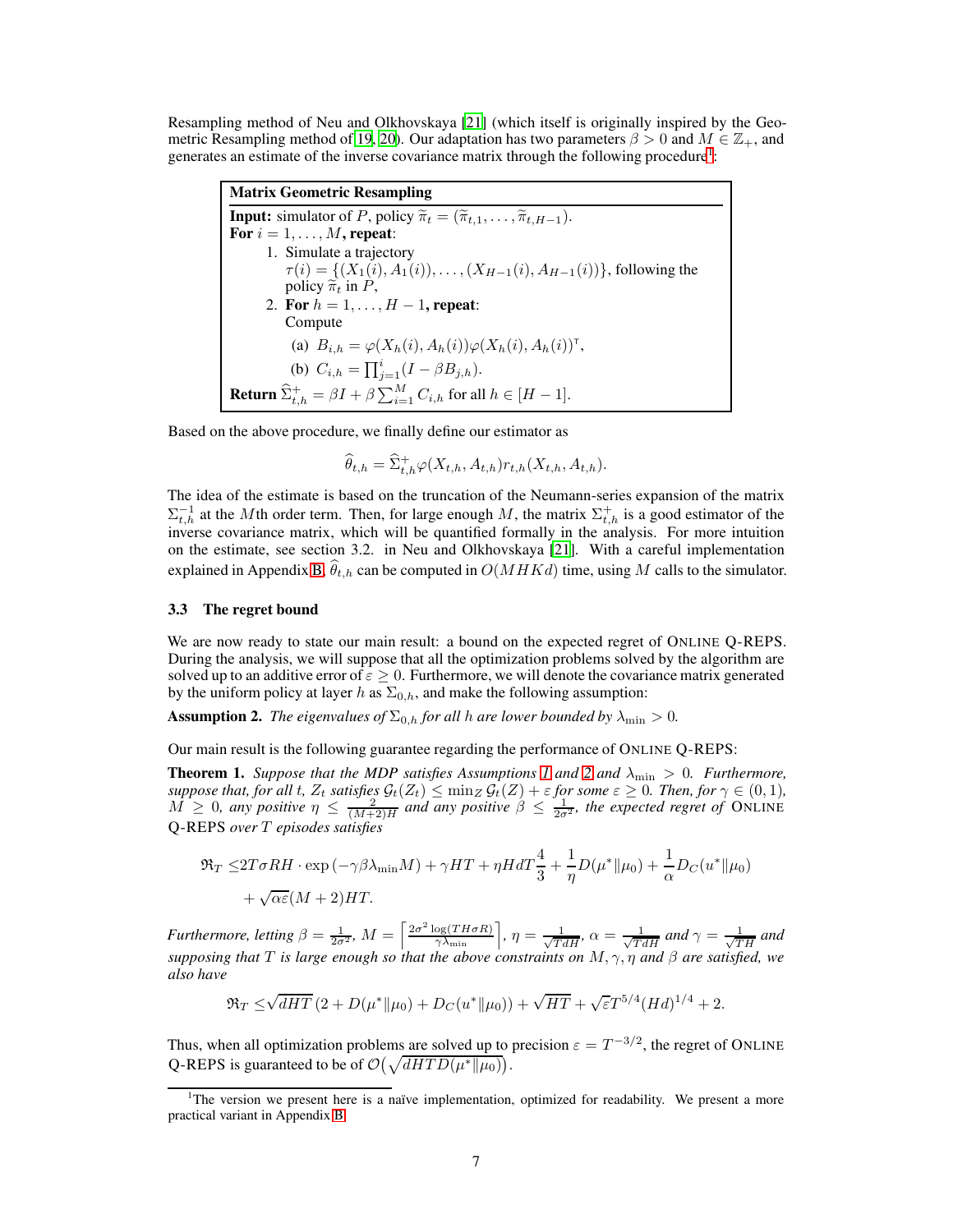Resampling method of Neu and Olkhovskaya [\[21\]](#page-10-11) (which itself is originally inspired by the Geo-metric Resampling method of [19](#page-10-16), [20](#page-10-17)). Our adaptation has two parameters  $\beta > 0$  and  $M \in \mathbb{Z}_+$ , and generates an estimate of the inverse covariance matrix through the following procedure<sup>[1](#page-6-0)</sup>:

Matrix Geometric Resampling **Input:** simulator of P, policy  $\widetilde{\pi}_t = (\widetilde{\pi}_{t,1}, \ldots, \widetilde{\pi}_{t, H-1}).$ For  $i = 1, \ldots, M$ , repeat: 1. Simulate a trajectory  $\tau(i) = \{(X_1(i), A_1(i)), \ldots, (X_{H-1}(i), A_{H-1}(i))\}$ , following the policy  $\tilde{\pi}_t$  in P, 2. For  $h = 1, ..., H - 1$ , repeat: Compute (a)  $B_{i,h} = \varphi(X_h(i), A_h(i)) \varphi(X_h(i), A_h(i))$ <sup>T</sup>, (b)  $C_{i,h} = \prod_{j=1}^{i} (I - \beta B_{j,h}).$ **Return**  $\widehat{\Sigma}_{t,h}^+ = \beta I + \beta \sum_{i=1}^M C_{i,h}$  for all  $h \in [H-1]$ .

Based on the above procedure, we finally define our estimator as

$$
\widehat{\theta}_{t,h} = \widehat{\Sigma}_{t,h}^+ \varphi(X_{t,h}, A_{t,h}) r_{t,h}(X_{t,h}, A_{t,h}).
$$

The idea of the estimate is based on the truncation of the Neumann-series expansion of the matrix  $\Sigma_{t,h}^{-1}$  at the Mth order term. Then, for large enough M, the matrix  $\Sigma_{t,h}^{+}$  is a good estimator of the inverse covariance matrix, which will be quantified formally in the analysis. For more intuition on the estimate, see section 3.2. in Neu and Olkhovskaya [\[21](#page-10-11)]. With a careful implementation explained in Appendix [B,](#page-17-0)  $\hat{\theta}_{t,h}$  can be computed in  $O(MHKd)$  time, using M calls to the simulator.

#### 3.3 The regret bound

We are now ready to state our main result: a bound on the expected regret of ONLINE Q-REPS. During the analysis, we will suppose that all the optimization problems solved by the algorithm are solved up to an additive error of  $\varepsilon \geq 0$ . Furthermore, we will denote the covariance matrix generated by the uniform policy at layer h as  $\Sigma_{0,h}$ , and make the following assumption:

<span id="page-6-1"></span>**Assumption 2.** *The eigenvalues of*  $\Sigma_{0,h}$  *for all h are lower bounded by*  $\lambda_{\min} > 0$ *.* 

Our main result is the following guarantee regarding the performance of ONLINE Q-REPS:

<span id="page-6-2"></span>**Theorem [1](#page-3-0).** *Suppose that the MDP satisfies Assumptions 1 and [2](#page-6-1) and*  $\lambda_{\min} > 0$ *. Furthermore, suppose that, for all t,*  $Z_t$  *satisfies*  $\mathcal{G}_t(Z_t) \le \min_Z \mathcal{G}_t(Z) + \varepsilon$  *for some*  $\varepsilon \ge 0$ *. Then, for*  $\gamma \in (0,1)$ *,*  $\widehat{M} \geq 0$ , any positive  $\eta \leq \frac{2}{(M+2)H}$  and any positive  $\beta \leq \frac{1}{2\sigma^2}$ , the expected regret of ONLINE Q-REPS *over* T *episodes satisfies*

$$
\mathfrak{R}_T \le 2T\sigma RH \cdot \exp\left(-\gamma\beta\lambda_{\min}M\right) + \gamma HT + \eta H dT\frac{4}{3} + \frac{1}{\eta}D(\mu^* \|\mu_0) + \frac{1}{\alpha}D_C(u^* \|\mu_0) + \sqrt{\alpha \varepsilon}(M+2)HT.
$$

*Furthermore, letting*  $\beta = \frac{1}{2\sigma^2}$ ,  $M = \left[\frac{2\sigma^2 \log(TH\sigma R)}{\gamma \lambda_{\min}}\right]$ ,  $\eta = \frac{1}{\sqrt{TdH}}$ ,  $\alpha = \frac{1}{\sqrt{TdH}}$  and  $\gamma = \frac{1}{\sqrt{TH}}$  and *supposing that* T *is large enough so that the above constraints on*  $M, \gamma, \eta$  *and*  $\beta$  *are satisfied, we also have*

$$
\Re_T \le \sqrt{dHT} \left( 2 + D(\mu^* \| \mu_0) + D_C(u^* \| \mu_0) \right) + \sqrt{HT} + \sqrt{\varepsilon} T^{5/4} (Hd)^{1/4} + 2.
$$

Thus, when all optimization problems are solved up to precision  $\varepsilon = T^{-3/2}$ , the regret of ONLINE Q-REPS is guaranteed to be of  $\mathcal{O}(\sqrt{dHTD(\mu^*||\mu_0)})$ .

<span id="page-6-0"></span><sup>&</sup>lt;sup>1</sup>The version we present here is a naïve implementation, optimized for readability. We present a more practical variant in Appendix [B](#page-17-0)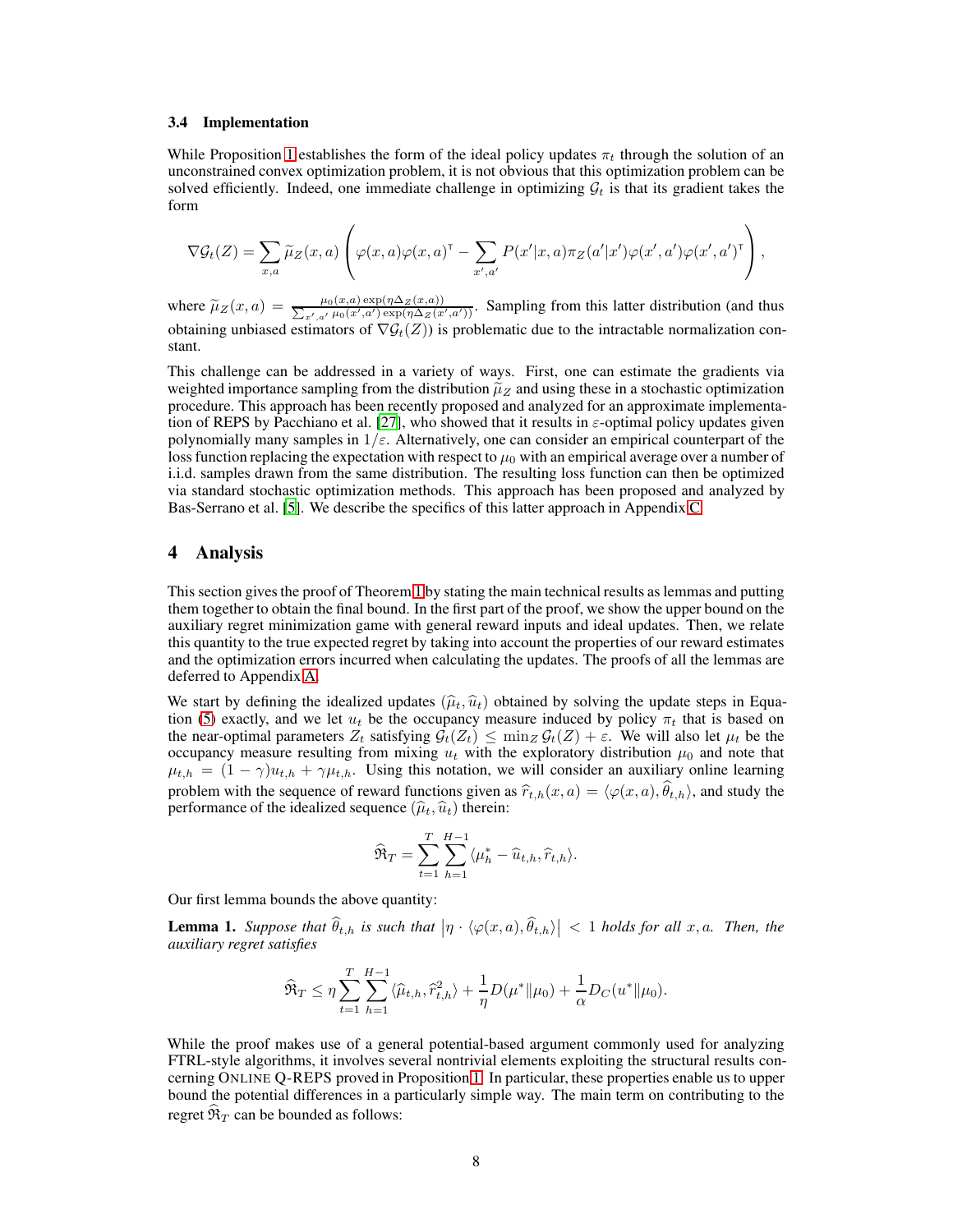#### <span id="page-7-2"></span>3.4 Implementation

While Proposition [1](#page-4-1) establishes the form of the ideal policy updates  $\pi_t$  through the solution of an unconstrained convex optimization problem, it is not obvious that this optimization problem can be solved efficiently. Indeed, one immediate challenge in optimizing  $\mathcal{G}_t$  is that its gradient takes the form

$$
\nabla \mathcal{G}_t(Z) = \sum_{x,a} \widetilde{\mu}_Z(x,a) \left( \varphi(x,a) \varphi(x,a)^{\mathsf{T}} - \sum_{x',a'} P(x'|x,a) \pi_Z(a'|x') \varphi(x',a') \varphi(x',a')^{\mathsf{T}} \right),
$$

where  $\tilde{\mu}_Z(x, a) = \frac{\mu_0(x, a) \exp(\eta \Delta_Z(x, a))}{\sum_{x', a'} \mu_0(x', a') \exp(\eta \Delta_Z(x', a'))}$ . Sampling from this latter distribution (and thus obtaining unbiased estimators of  $\nabla \mathcal{G}_t(Z)$ ) is problematic due to the intractable normalization constant.

This challenge can be addressed in a variety of ways. First, one can estimate the gradients via weighted importance sampling from the distribution  $\tilde{\mu}_Z$  and using these in a stochastic optimization procedure. This approach has been recently proposed and analyzed for an approximate implementa-tion of REPS by Pacchiano et al. [\[27\]](#page-10-18), who showed that it results in  $\varepsilon$ -optimal policy updates given polynomially many samples in  $1/\varepsilon$ . Alternatively, one can consider an empirical counterpart of the loss function replacing the expectation with respect to  $\mu_0$  with an empirical average over a number of i.i.d. samples drawn from the same distribution. The resulting loss function can then be optimized via standard stochastic optimization methods. This approach has been proposed and analyzed by Bas-Serrano et al. [\[5\]](#page-9-9). We describe the specifics of this latter approach in Appendix [C.](#page-18-0)

## <span id="page-7-0"></span>4 Analysis

This section gives the proof of Theorem [1](#page-6-2) by stating the main technical results as lemmas and putting them together to obtain the final bound. In the first part of the proof, we show the upper bound on the auxiliary regret minimization game with general reward inputs and ideal updates. Then, we relate this quantity to the true expected regret by taking into account the properties of our reward estimates and the optimization errors incurred when calculating the updates. The proofs of all the lemmas are deferred to Appendix [A.](#page-12-1)

We start by defining the idealized updates  $(\hat{\mu}_t, \hat{u}_t)$  obtained by solving the update steps in Equa-tion [\(5\)](#page-4-0) exactly, and we let  $u_t$  be the occupancy measure induced by policy  $\pi_t$  that is based on the near-optimal parameters  $Z_t$  satisfying  $\mathcal{G}_t(Z_t) \le \min_z \mathcal{G}_t(Z) + \varepsilon$ . We will also let  $\mu_t$  be the occupancy measure resulting from mixing  $u_t$  with the exploratory distribution  $\mu_0$  and note that  $\mu_{t,h} = (1 - \gamma)u_{t,h} + \gamma\mu_{t,h}$ . Using this notation, we will consider an auxiliary online learning problem with the sequence of reward functions given as  $\hat{r}_{t,h}(x, a) = \langle \varphi(x, a), \hat{\theta}_{t,h} \rangle$ , and study the performance of the idealized sequence  $(\widehat{\mu}_t, \widehat{u}_t)$  therein:

$$
\widehat{\mathfrak{R}}_T = \sum_{t=1}^T \sum_{h=1}^{H-1} \langle \mu_h^* - \widehat{u}_{t,h}, \widehat{r}_{t,h} \rangle.
$$

Our first lemma bounds the above quantity:

<span id="page-7-1"></span>**Lemma 1.** Suppose that  $\widehat{\theta}_{t,h}$  is such that  $|\eta \cdot \langle \varphi(x,a), \widehat{\theta}_{t,h} \rangle| < 1$  holds for all x, a. Then, the *auxiliary regret satisfies*

$$
\widehat{\mathfrak{R}}_T \leq \eta \sum_{t=1}^T \sum_{h=1}^{H-1} \langle \widehat{\mu}_{t,h}, \widehat{r}_{t,h}^2 \rangle + \frac{1}{\eta} D(\mu^* \| \mu_0) + \frac{1}{\alpha} D_C(u^* \| \mu_0).
$$

While the proof makes use of a general potential-based argument commonly used for analyzing FTRL-style algorithms, it involves several nontrivial elements exploiting the structural results concerning ONLINE Q-REPS proved in Proposition [1.](#page-4-1) In particular, these properties enable us to upper bound the potential differences in a particularly simple way. The main term on contributing to the regret  $\hat{\mathfrak{R}}_T$  can be bounded as follows: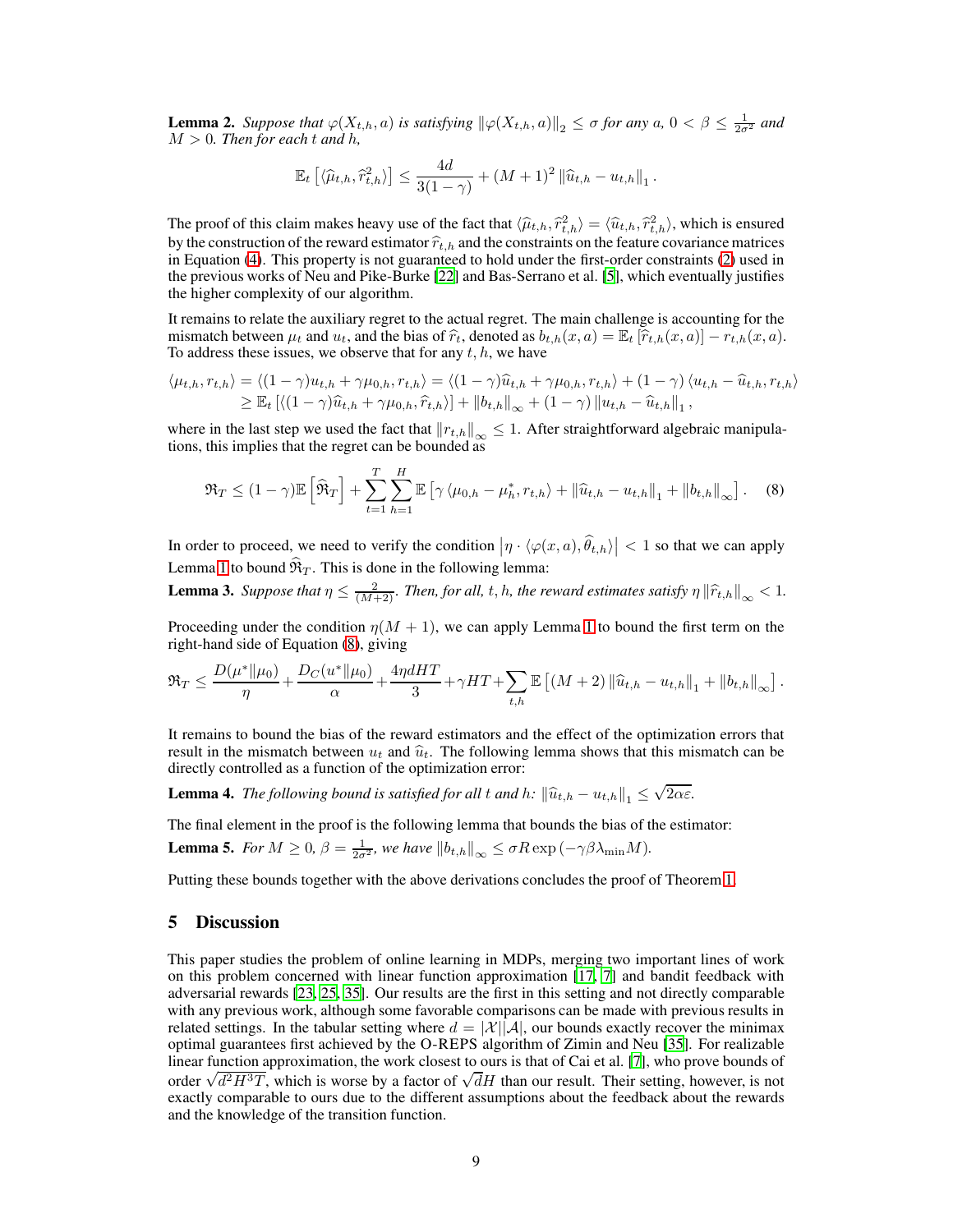<span id="page-8-1"></span>**Lemma 2.** Suppose that  $\varphi(X_{t,h}, a)$  is satisfying  $\|\varphi(X_{t,h}, a)\|_2 \leq \sigma$  for any  $a, 0 < \beta \leq \frac{1}{2\sigma^2}$  and  $M > 0$ *. Then for each t and h,* 

$$
\mathbb{E}_t\left[\langle \widehat{\mu}_{t,h}, \widehat{r}_{t,h}^2 \rangle\right] \leq \frac{4d}{3(1-\gamma)} + (M+1)^2 \left\|\widehat{u}_{t,h} - u_{t,h}\right\|_1.
$$

The proof of this claim makes heavy use of the fact that  $\langle \hat{\mu}_{t,h}, \hat{r}_{t,h}^2 \rangle = \langle \hat{u}_{t,h}, \hat{r}_{t,h}^2 \rangle$ , which is ensured by the construction of the reward estimator  $\hat{r}_{t,h}$  and the constraints on the feature covariance matrices in Equation [\(4\)](#page-4-2). This property is not guaranteed to hold under the first-order constraints [\(2\)](#page-3-1) used in the previous works of Neu and Pike-Burke [\[22\]](#page-10-4) and Bas-Serrano et al. [\[5](#page-9-9)], which eventually justifies the higher complexity of our algorithm.

It remains to relate the auxiliary regret to the actual regret. The main challenge is accounting for the mismatch between  $\mu_t$  and  $u_t$ , and the bias of  $\hat{r}_t$ , denoted as  $b_{t,h}(x, a) = \mathbb{E}_t [\hat{r}_{t,h}(x, a)] - r_{t,h}(x, a)$ . To address these issues, we observe that for any  $t, h$ , we have

$$
\langle \mu_{t,h}, r_{t,h} \rangle = \langle (1 - \gamma)u_{t,h} + \gamma \mu_{0,h}, r_{t,h} \rangle = \langle (1 - \gamma)\hat{u}_{t,h} + \gamma \mu_{0,h}, r_{t,h} \rangle + (1 - \gamma) \langle u_{t,h} - \hat{u}_{t,h}, r_{t,h} \rangle
$$
  
\n
$$
\geq \mathbb{E}_t \left[ \langle (1 - \gamma)\hat{u}_{t,h} + \gamma \mu_{0,h}, \hat{r}_{t,h} \rangle \right] + \|b_{t,h}\|_{\infty} + (1 - \gamma) \|u_{t,h} - \hat{u}_{t,h}\|_1,
$$

where in the last step we used the fact that  $||r_{t,h}||_{\infty} \leq 1$ . After straightforward algebraic manipulations, this implies that the regret can be bounded as

<span id="page-8-0"></span>
$$
\mathfrak{R}_T \leq (1 - \gamma) \mathbb{E} \left[ \widehat{\mathfrak{R}}_T \right] + \sum_{t=1}^T \sum_{h=1}^H \mathbb{E} \left[ \gamma \langle \mu_{0,h} - \mu_h^*, r_{t,h} \rangle + ||\widehat{u}_{t,h} - u_{t,h}||_1 + ||b_{t,h}||_\infty \right]. \tag{8}
$$

In order to proceed, we need to verify the condition  $|\eta \cdot \langle \varphi(x, a), \hat{\theta}_{t,h} \rangle| < 1$  so that we can apply Lemma [1](#page-7-1) to bound  $\widehat{\mathfrak{R}}_T$ . This is done in the following lemma:

<span id="page-8-2"></span>**Lemma 3.** *Suppose that*  $\eta \leq \frac{2}{(M+2)}$ *. Then, for all, t, h, the reward estimates satisfy*  $\eta \left\| \hat{r}_{t,h} \right\|_{\infty} < 1$ *.* 

Proceeding under the condition  $\eta(M + 1)$  $\eta(M + 1)$  $\eta(M + 1)$ , we can apply Lemma 1 to bound the first term on the right-hand side of Equation [\(8\)](#page-8-0), giving

$$
\Re_T \leq \frac{D(\mu^* \| \mu_0)}{\eta} + \frac{D_C(u^* \| \mu_0)}{\alpha} + \frac{4\eta dHT}{3} + \gamma HT + \sum_{t,h} \mathbb{E} \left[ (M+2) \left\| \widehat{u}_{t,h} - u_{t,h} \right\|_1 + \left\| b_{t,h} \right\|_\infty \right].
$$

It remains to bound the bias of the reward estimators and the effect of the optimization errors that result in the mismatch between  $u_t$  and  $\hat{u}_t$ . The following lemma shows that this mismatch can be directly controlled as a function of the optimization error:

<span id="page-8-4"></span>**Lemma 4.** *The following bound is satisfied for all t and h:*  $\left\|\hat{u}_{t,h} - u_{t,h}\right\|_1 \leq \sqrt{2\alpha \varepsilon}$ .

<span id="page-8-3"></span>The final element in the proof is the following lemma that bounds the bias of the estimator: **Lemma 5.** *For*  $M \geq 0$ ,  $\beta = \frac{1}{2\sigma^2}$ , we have  $||b_{t,h}||_{\infty} \leq \sigma R \exp(-\gamma \beta \lambda_{\min} M)$ .

Putting these bounds together with the above derivations concludes the proof of Theorem [1.](#page-6-2)

## 5 Discussion

This paper studies the problem of online learning in MDPs, merging two important lines of work on this problem concerned with linear function approximation [\[17,](#page-10-3) [7\]](#page-9-8) and bandit feedback with adversarial rewards [\[23](#page-10-7), [25](#page-10-6), [35\]](#page-11-1). Our results are the first in this setting and not directly comparable with any previous work, although some favorable comparisons can be made with previous results in related settings. In the tabular setting where  $d = |\mathcal{X}||\mathcal{A}|$ , our bounds exactly recover the minimax optimal guarantees first achieved by the O-REPS algorithm of Zimin and Neu [\[35](#page-11-1)]. For realizable linear function approximation, the work closest to ours is that of Cai et al. [\[7\]](#page-9-8), who prove bounds of order  $\sqrt{d^2H^3T}$ , which is worse by a factor of  $\sqrt{d}H$  than our result. Their setting, however, is not exactly comparable to ours due to the different assumptions about the feedback about the rewards and the knowledge of the transition function.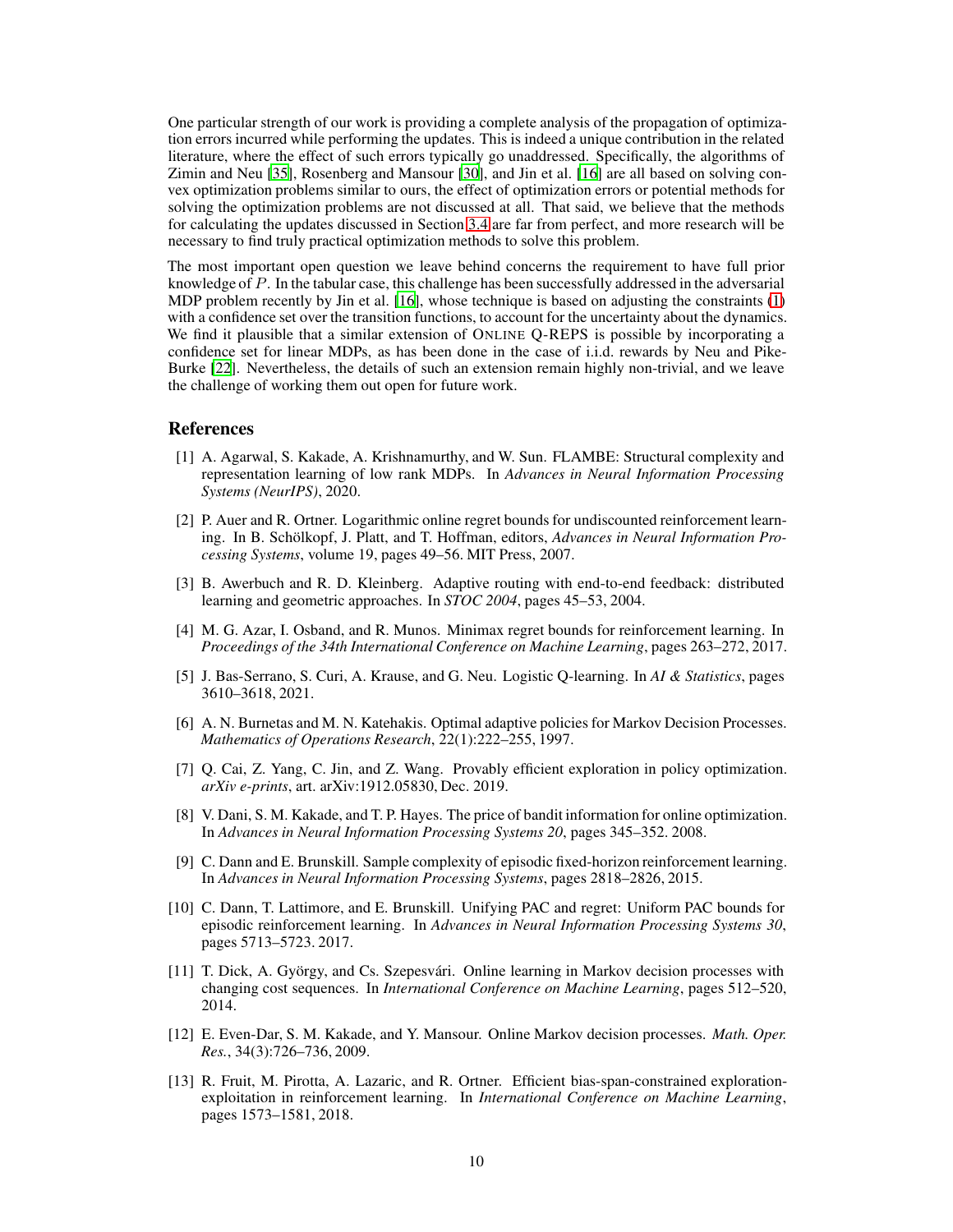One particular strength of our work is providing a complete analysis of the propagation of optimization errors incurred while performing the updates. This is indeed a unique contribution in the related literature, where the effect of such errors typically go unaddressed. Specifically, the algorithms of Zimin and Neu [\[35](#page-11-1)], Rosenberg and Mansour [\[30\]](#page-10-9), and Jin et al. [\[16\]](#page-10-10) are all based on solving convex optimization problems similar to ours, the effect of optimization errors or potential methods for solving the optimization problems are not discussed at all. That said, we believe that the methods for calculating the updates discussed in Section [3.4](#page-7-2) are far from perfect, and more research will be necessary to find truly practical optimization methods to solve this problem.

The most important open question we leave behind concerns the requirement to have full prior knowledge of P. In the tabular case, this challenge has been successfully addressed in the adversarial MDP problem recently by Jin et al. [\[16\]](#page-10-10), whose technique is based on adjusting the constraints [\(1\)](#page-2-0) with a confidence set over the transition functions, to account for the uncertainty about the dynamics. We find it plausible that a similar extension of ONLINE Q-REPS is possible by incorporating a confidence set for linear MDPs, as has been done in the case of i.i.d. rewards by Neu and Pike-Burke [\[22\]](#page-10-4). Nevertheless, the details of such an extension remain highly non-trivial, and we leave the challenge of working them out open for future work.

## References

- <span id="page-9-6"></span>[1] A. Agarwal, S. Kakade, A. Krishnamurthy, and W. Sun. FLAMBE: Structural complexity and representation learning of low rank MDPs. In *Advances in Neural Information Processing Systems (NeurIPS)*, 2020.
- <span id="page-9-1"></span>[2] P. Auer and R. Ortner. Logarithmic online regret bounds for undiscounted reinforcement learning. In B. Schölkopf, J. Platt, and T. Hoffman, editors, *Advances in Neural Information Processing Systems*, volume 19, pages 49–56. MIT Press, 2007.
- <span id="page-9-10"></span>[3] B. Awerbuch and R. D. Kleinberg. Adaptive routing with end-to-end feedback: distributed learning and geometric approaches. In *STOC 2004*, pages 45–53, 2004.
- <span id="page-9-4"></span>[4] M. G. Azar, I. Osband, and R. Munos. Minimax regret bounds for reinforcement learning. In *Proceedings of the 34th International Conference on Machine Learning*, pages 263–272, 2017.
- <span id="page-9-9"></span>[5] J. Bas-Serrano, S. Curi, A. Krause, and G. Neu. Logistic Q-learning. In *AI & Statistics*, pages 3610–3618, 2021.
- <span id="page-9-0"></span>[6] A. N. Burnetas and M. N. Katehakis. Optimal adaptive policies for Markov Decision Processes. *Mathematics of Operations Research*, 22(1):222–255, 1997.
- <span id="page-9-8"></span>[7] Q. Cai, Z. Yang, C. Jin, and Z. Wang. Provably efficient exploration in policy optimization. *arXiv e-prints*, art. arXiv:1912.05830, Dec. 2019.
- <span id="page-9-11"></span>[8] V. Dani, S. M. Kakade, and T. P. Hayes. The price of bandit information for online optimization. In *Advances in Neural Information Processing Systems 20*, pages 345–352. 2008.
- <span id="page-9-2"></span>[9] C. Dann and E. Brunskill. Sample complexity of episodic fixed-horizon reinforcement learning. In *Advances in Neural Information Processing Systems*, pages 2818–2826, 2015.
- <span id="page-9-3"></span>[10] C. Dann, T. Lattimore, and E. Brunskill. Unifying PAC and regret: Uniform PAC bounds for episodic reinforcement learning. In *Advances in Neural Information Processing Systems 30*, pages 5713–5723. 2017.
- <span id="page-9-7"></span>[11] T. Dick, A. György, and Cs. Szepesvári. Online learning in Markov decision processes with changing cost sequences. In *International Conference on Machine Learning*, pages 512–520, 2014.
- [12] E. Even-Dar, S. M. Kakade, and Y. Mansour. Online Markov decision processes. *Math. Oper. Res.*, 34(3):726–736, 2009.
- <span id="page-9-5"></span>[13] R. Fruit, M. Pirotta, A. Lazaric, and R. Ortner. Efficient bias-span-constrained explorationexploitation in reinforcement learning. In *International Conference on Machine Learning*, pages 1573–1581, 2018.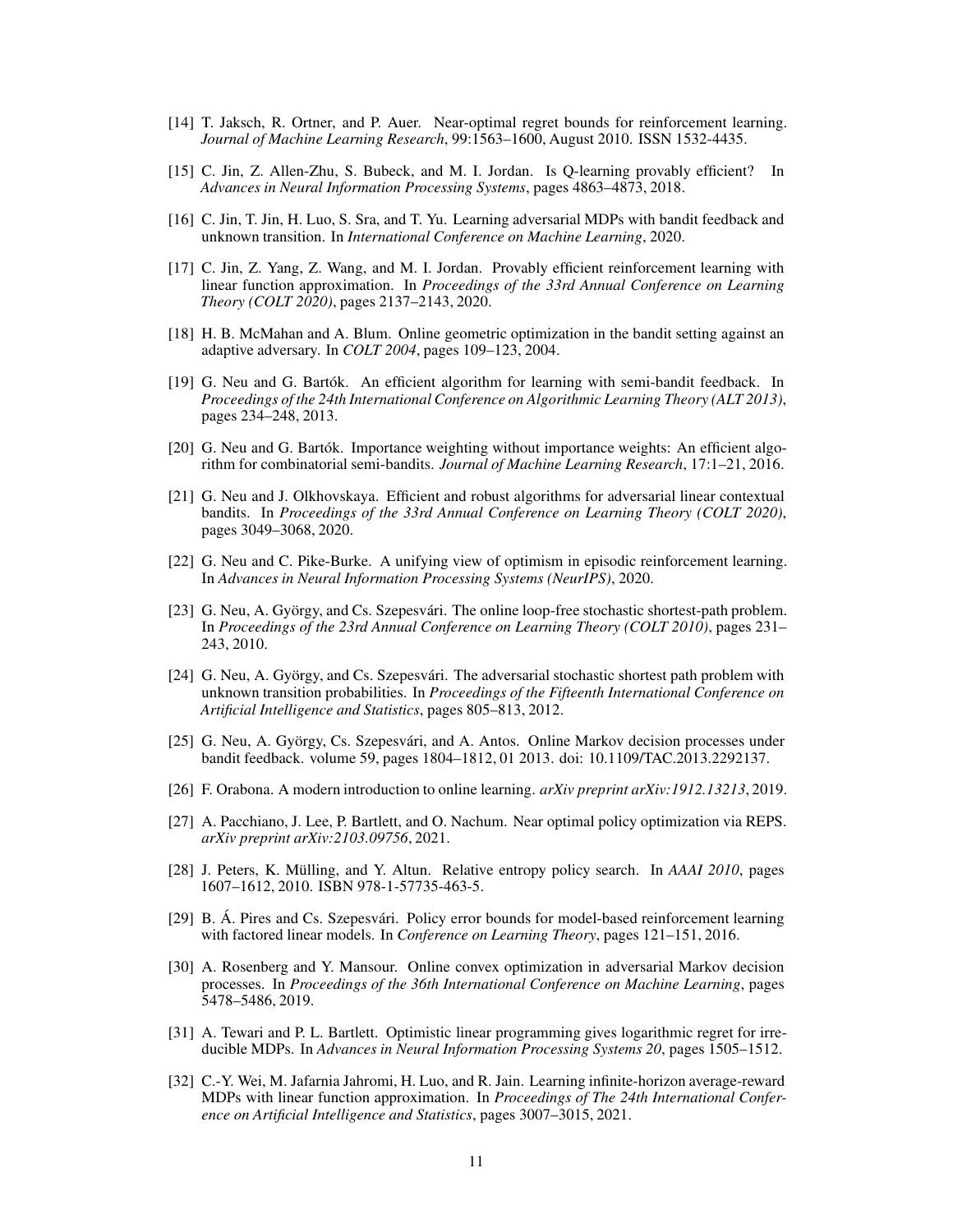- <span id="page-10-1"></span>[14] T. Jaksch, R. Ortner, and P. Auer. Near-optimal regret bounds for reinforcement learning. *Journal of Machine Learning Research*, 99:1563–1600, August 2010. ISSN 1532-4435.
- <span id="page-10-2"></span>[15] C. Jin, Z. Allen-Zhu, S. Bubeck, and M. I. Jordan. Is Q-learning provably efficient? In *Advances in Neural Information Processing Systems*, pages 4863–4873, 2018.
- <span id="page-10-10"></span>[16] C. Jin, T. Jin, H. Luo, S. Sra, and T. Yu. Learning adversarial MDPs with bandit feedback and unknown transition. In *International Conference on Machine Learning*, 2020.
- <span id="page-10-3"></span>[17] C. Jin, Z. Yang, Z. Wang, and M. I. Jordan. Provably efficient reinforcement learning with linear function approximation. In *Proceedings of the 33rd Annual Conference on Learning Theory (COLT 2020)*, pages 2137–2143, 2020.
- <span id="page-10-15"></span>[18] H. B. McMahan and A. Blum. Online geometric optimization in the bandit setting against an adaptive adversary. In *COLT 2004*, pages 109–123, 2004.
- <span id="page-10-16"></span>[19] G. Neu and G. Bartók. An efficient algorithm for learning with semi-bandit feedback. In *Proceedings of the 24th International Conference on Algorithmic Learning Theory (ALT 2013)*, pages 234–248, 2013.
- <span id="page-10-17"></span>[20] G. Neu and G. Bartók. Importance weighting without importance weights: An efficient algorithm for combinatorial semi-bandits. *Journal of Machine Learning Research*, 17:1–21, 2016.
- <span id="page-10-11"></span>[21] G. Neu and J. Olkhovskaya. Efficient and robust algorithms for adversarial linear contextual bandits. In *Proceedings of the 33rd Annual Conference on Learning Theory (COLT 2020)*, pages 3049–3068, 2020.
- <span id="page-10-4"></span>[22] G. Neu and C. Pike-Burke. A unifying view of optimism in episodic reinforcement learning. In *Advances in Neural Information Processing Systems (NeurIPS)*, 2020.
- <span id="page-10-7"></span>[23] G. Neu, A. György, and Cs. Szepesvári. The online loop-free stochastic shortest-path problem. In *Proceedings of the 23rd Annual Conference on Learning Theory (COLT 2010)*, pages 231– 243, 2010.
- <span id="page-10-8"></span>[24] G. Neu, A. György, and Cs. Szepesvári. The adversarial stochastic shortest path problem with unknown transition probabilities. In *Proceedings of the Fifteenth International Conference on Artificial Intelligence and Statistics*, pages 805–813, 2012.
- <span id="page-10-6"></span>[25] G. Neu, A. György, Cs. Szepesvári, and A. Antos. Online Markov decision processes under bandit feedback. volume 59, pages 1804–1812, 01 2013. doi: 10.1109/TAC.2013.2292137.
- <span id="page-10-13"></span>[26] F. Orabona. A modern introduction to online learning. *arXiv preprint arXiv:1912.13213*, 2019.
- <span id="page-10-18"></span>[27] A. Pacchiano, J. Lee, P. Bartlett, and O. Nachum. Near optimal policy optimization via REPS. *arXiv preprint arXiv:2103.09756*, 2021.
- <span id="page-10-14"></span>[28] J. Peters, K. Mülling, and Y. Altun. Relative entropy policy search. In *AAAI 2010*, pages 1607–1612, 2010. ISBN 978-1-57735-463-5.
- <span id="page-10-12"></span>[29] B. Á. Pires and Cs. Szepesvári. Policy error bounds for model-based reinforcement learning with factored linear models. In *Conference on Learning Theory*, pages 121–151, 2016.
- <span id="page-10-9"></span>[30] A. Rosenberg and Y. Mansour. Online convex optimization in adversarial Markov decision processes. In *Proceedings of the 36th International Conference on Machine Learning*, pages 5478–5486, 2019.
- <span id="page-10-0"></span>[31] A. Tewari and P. L. Bartlett. Optimistic linear programming gives logarithmic regret for irreducible MDPs. In *Advances in Neural Information Processing Systems 20*, pages 1505–1512.
- <span id="page-10-5"></span>[32] C.-Y. Wei, M. Jafarnia Jahromi, H. Luo, and R. Jain. Learning infinite-horizon average-reward MDPs with linear function approximation. In *Proceedings of The 24th International Conference on Artificial Intelligence and Statistics*, pages 3007–3015, 2021.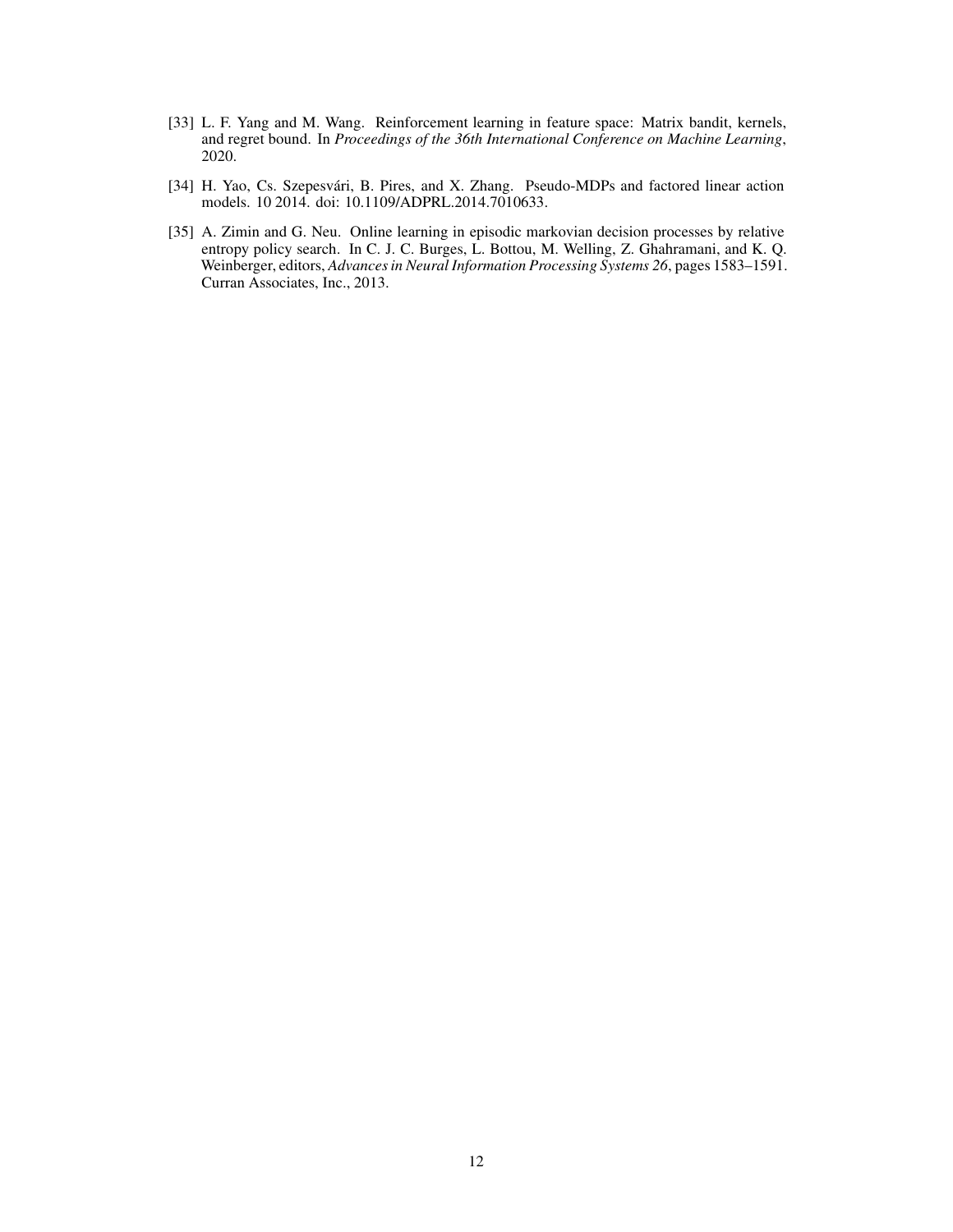- <span id="page-11-0"></span>[33] L. F. Yang and M. Wang. Reinforcement learning in feature space: Matrix bandit, kernels, and regret bound. In *Proceedings of the 36th International Conference on Machine Learning*, 2020.
- <span id="page-11-2"></span>[34] H. Yao, Cs. Szepesvári, B. Pires, and X. Zhang. Pseudo-MDPs and factored linear action models. 10 2014. doi: 10.1109/ADPRL.2014.7010633.
- <span id="page-11-1"></span>[35] A. Zimin and G. Neu. Online learning in episodic markovian decision processes by relative entropy policy search. In C. J. C. Burges, L. Bottou, M. Welling, Z. Ghahramani, and K. Q. Weinberger, editors, *Advances in Neural Information Processing Systems 26*, pages 1583–1591. Curran Associates, Inc., 2013.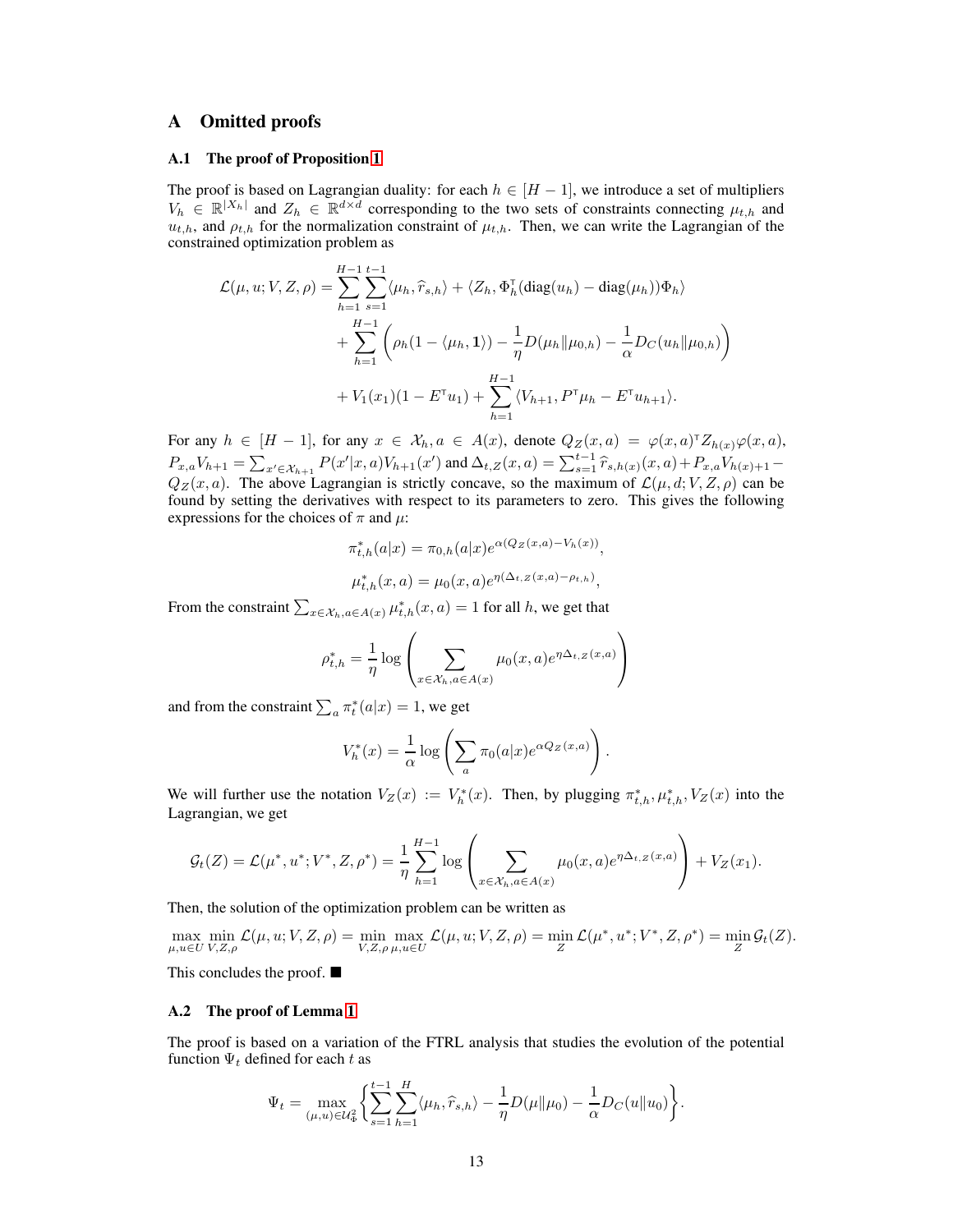## <span id="page-12-1"></span><span id="page-12-0"></span>A Omitted proofs

#### A.1 The proof of Proposition [1](#page-4-1)

The proof is based on Lagrangian duality: for each  $h \in [H-1]$ , we introduce a set of multipliers  $V_h \in \mathbb{R}^{|X_h|}$  and  $Z_h \in \mathbb{R}^{d \times d}$  corresponding to the two sets of constraints connecting  $\mu_{t,h}$  and  $u_{t,h}$ , and  $\rho_{t,h}$  for the normalization constraint of  $\mu_{t,h}$ . Then, we can write the Lagrangian of the constrained optimization problem as

$$
\mathcal{L}(\mu, u; V, Z, \rho) = \sum_{h=1}^{H-1} \sum_{s=1}^{t-1} \langle \mu_h, \hat{r}_{s,h} \rangle + \langle Z_h, \Phi_h^{\mathsf{T}}(\text{diag}(u_h) - \text{diag}(\mu_h))\Phi_h \rangle \n+ \sum_{h=1}^{H-1} \left( \rho_h(1 - \langle \mu_h, 1 \rangle) - \frac{1}{\eta} D(\mu_h || \mu_{0,h}) - \frac{1}{\alpha} D_C(u_h || \mu_{0,h}) \right) \n+ V_1(x_1)(1 - E^{\mathsf{T}}u_1) + \sum_{h=1}^{H-1} \langle V_{h+1}, P^{\mathsf{T}}\mu_h - E^{\mathsf{T}}u_{h+1} \rangle.
$$

For any  $h \in [H-1]$ , for any  $x \in \mathcal{X}_h, a \in A(x)$ , denote  $Q_Z(x, a) = \varphi(x, a)^T Z_{h(x)} \varphi(x, a)$ ,  $P_{x,a}V_{h+1} = \sum_{x' \in \mathcal{X}_{h+1}} P(x'|x,a)V_{h+1}(x')$  and  $\Delta_{t,Z}(x,a) = \sum_{s=1}^{t-1} \hat{r}_{s,h(x)}(x,a) + P_{x,a}V_{h(x)+1} Q_Z(x, a)$ . The above Lagrangian is strictly concave, so the maximum of  $\mathcal{L}(\mu, d; V, Z, \rho)$  can be found by setting the derivatives with respect to its parameters to zero. This gives the following expressions for the choices of  $\pi$  and  $\mu$ :

$$
\pi_{t,h}^*(a|x) = \pi_{0,h}(a|x)e^{\alpha(Q_Z(x,a) - V_h(x))},
$$
  

$$
\mu_{t,h}^*(x,a) = \mu_0(x,a)e^{\eta(\Delta_{t,Z}(x,a) - \rho_{t,h})},
$$

From the constraint  $\sum_{x \in \mathcal{X}_h, a \in A(x)} \mu_{t,h}^*(x, a) = 1$  for all h, we get that

$$
\rho_{t,h}^* = \frac{1}{\eta} \log \left( \sum_{x \in \mathcal{X}_h, a \in A(x)} \mu_0(x, a) e^{\eta \Delta_{t,Z}(x, a)} \right)
$$

and from the constraint  $\sum_a \pi_t^*(a|x) = 1$ , we get

$$
V_h^*(x) = \frac{1}{\alpha} \log \left( \sum_a \pi_0(a|x) e^{\alpha Q_Z(x,a)} \right).
$$

We will further use the notation  $V_Z(x) := V_h^*(x)$ . Then, by plugging  $\pi_{t,h}^*, \mu_{t,h}^*, V_Z(x)$  into the Lagrangian, we get

$$
\mathcal{G}_t(Z) = \mathcal{L}(\mu^*, u^*; V^*, Z, \rho^*) = \frac{1}{\eta} \sum_{h=1}^{H-1} \log \left( \sum_{x \in \mathcal{X}_h, a \in A(x)} \mu_0(x, a) e^{\eta \Delta_{t, Z}(x, a)} \right) + V_Z(x_1).
$$

Then, the solution of the optimization problem can be written as

$$
\max_{\mu, u \in U} \min_{V, Z, \rho} \mathcal{L}(\mu, u; V, Z, \rho) = \min_{V, Z, \rho} \max_{\mu, u \in U} \mathcal{L}(\mu, u; V, Z, \rho) = \min_{Z} \mathcal{L}(\mu^*, u^*; V^*, Z, \rho^*) = \min_{Z} \mathcal{G}_t(Z).
$$

This concludes the proof.  $\blacksquare$ 

#### A.2 The proof of Lemma [1](#page-7-1)

The proof is based on a variation of the FTRL analysis that studies the evolution of the potential function  $\Psi_t$  defined for each t as

$$
\Psi_t = \max_{(\mu, u) \in \mathcal{U}_\Phi^2} \left\{ \sum_{s=1}^{t-1} \sum_{h=1}^H \langle \mu_h, \hat{r}_{s,h} \rangle - \frac{1}{\eta} D(\mu \| \mu_0) - \frac{1}{\alpha} D_C(u \| u_0) \right\}.
$$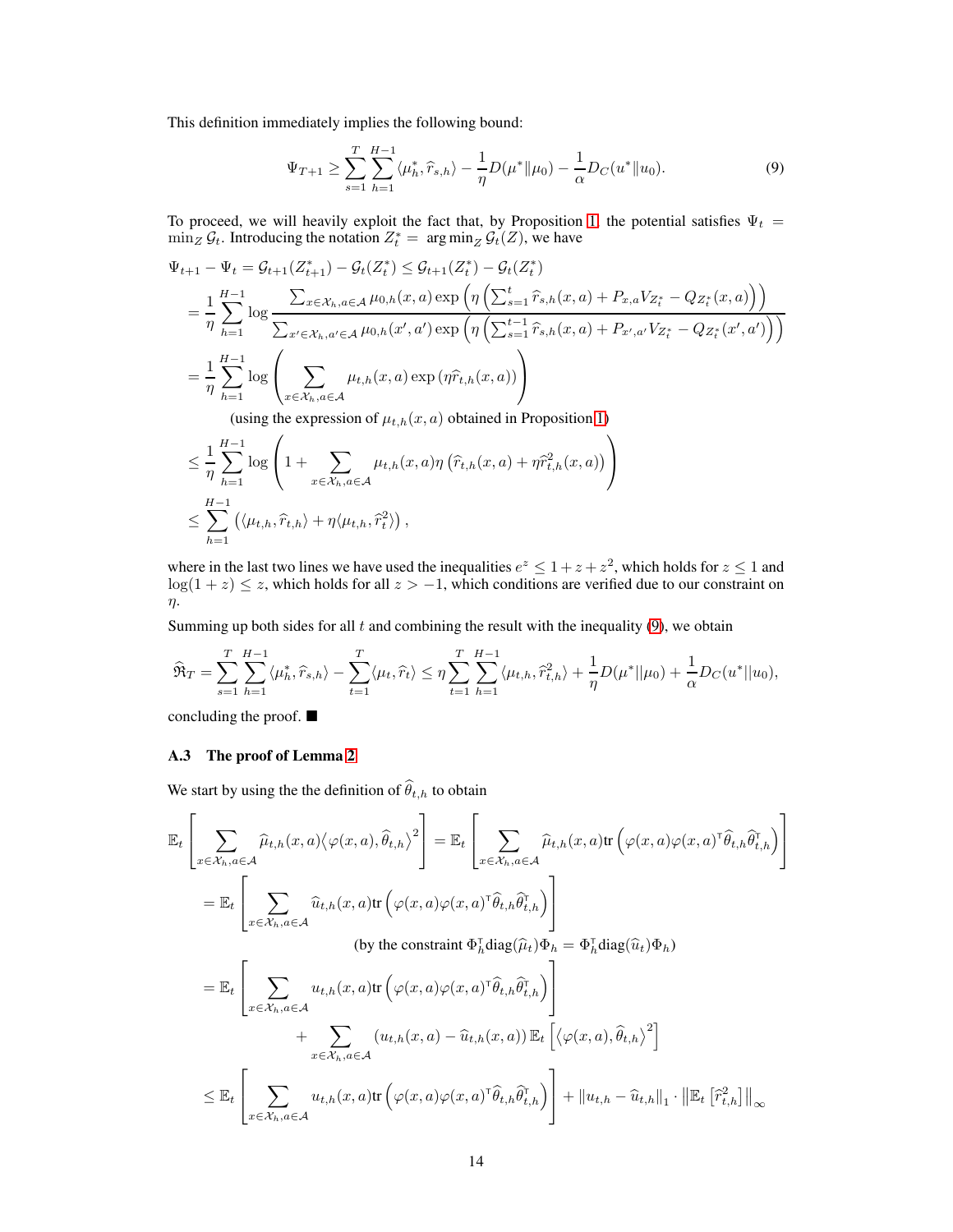This definition immediately implies the following bound:

<span id="page-13-0"></span>
$$
\Psi_{T+1} \ge \sum_{s=1}^{T} \sum_{h=1}^{H-1} \langle \mu_h^*, \hat{r}_{s,h} \rangle - \frac{1}{\eta} D(\mu^* \| \mu_0) - \frac{1}{\alpha} D_C(u^* \| u_0). \tag{9}
$$

To proceed, we will heavily exploit the fact that, by Proposition [1,](#page-4-1) the potential satisfies  $\Psi_t =$  $\min_Z \mathcal{G}_t$ . Introducing the notation  $Z_t^* = \arg \min_Z \mathcal{G}_t(Z)$ , we have

$$
\Psi_{t+1} - \Psi_t = \mathcal{G}_{t+1}(Z_{t+1}^*) - \mathcal{G}_t(Z_t^*) \leq \mathcal{G}_{t+1}(Z_t^*) - \mathcal{G}_t(Z_t^*)
$$
\n
$$
= \frac{1}{\eta} \sum_{h=1}^{H-1} \log \frac{\sum_{x \in \mathcal{X}_h, a \in \mathcal{A}} \mu_{0,h}(x, a) \exp \left( \eta \left( \sum_{s=1}^t \hat{r}_{s,h}(x, a) + P_{x,a} V_{Z_t^*} - Q_{Z_t^*}(x, a) \right) \right)}{\sum_{x' \in \mathcal{X}_h, a' \in \mathcal{A}} \mu_{0,h}(x', a') \exp \left( \eta \left( \sum_{s=1}^{t-1} \hat{r}_{s,h}(x, a) + P_{x',a'} V_{Z_t^*} - Q_{Z_t^*}(x', a') \right) \right)}
$$
\n
$$
= \frac{1}{\eta} \sum_{h=1}^{H-1} \log \left( \sum_{x \in \mathcal{X}_h, a \in \mathcal{A}} \mu_{t,h}(x, a) \exp \left( \eta \hat{r}_{t,h}(x, a) \right) \right)
$$
\n(using the expression of  $u$ ,  $(x, a)$  obtained in Proposition 1).

(using the expression of  $\mu_{t,h}(x, a)$  obtained in Proposition [1\)](#page-4-1)

$$
\leq \frac{1}{\eta} \sum_{h=1}^{H-1} \log \left( 1 + \sum_{x \in \mathcal{X}_h, a \in \mathcal{A}} \mu_{t,h}(x, a) \eta \left( \hat{r}_{t,h}(x, a) + \eta \hat{r}_{t,h}^2(x, a) \right) \right)
$$
  

$$
\leq \sum_{h=1}^{H-1} \left( \langle \mu_{t,h}, \hat{r}_{t,h} \rangle + \eta \langle \mu_{t,h}, \hat{r}_t^2 \rangle \right),
$$

where in the last two lines we have used the inequalities  $e^z \leq 1 + z + z^2$ , which holds for  $z \leq 1$  and  $log(1 + z) \leq z$ , which holds for all  $z > -1$ , which conditions are verified due to our constraint on η.

Summing up both sides for all  $t$  and combining the result with the inequality  $(9)$ , we obtain

$$
\widehat{\mathfrak{R}}_T = \sum_{s=1}^T \sum_{h=1}^{H-1} \langle \mu_h^*, \widehat{r}_{s,h} \rangle - \sum_{t=1}^T \langle \mu_t, \widehat{r}_t \rangle \le \eta \sum_{t=1}^T \sum_{h=1}^{H-1} \langle \mu_{t,h}, \widehat{r}_{t,h}^2 \rangle + \frac{1}{\eta} D(\mu^* || \mu_0) + \frac{1}{\alpha} D_C(u^* || u_0),
$$

concluding the proof.

## A.3 The proof of Lemma [2](#page-8-1)

We start by using the the definition of  $\widehat{\theta}_{t,h}$  to obtain

$$
\mathbb{E}_{t}\left[\sum_{x \in \mathcal{X}_{h},a \in \mathcal{A}}\widehat{\mu}_{t,h}(x,a)\langle \varphi(x,a),\widehat{\theta}_{t,h}\rangle^{2}\right] = \mathbb{E}_{t}\left[\sum_{x \in \mathcal{X}_{h},a \in \mathcal{A}}\widehat{\mu}_{t,h}(x,a) \text{tr}\left(\varphi(x,a)\varphi(x,a)^{\top}\widehat{\theta}_{t,h}\widehat{\theta}_{t,h}^{\top}\right)\right]
$$
\n
$$
= \mathbb{E}_{t}\left[\sum_{x \in \mathcal{X}_{h},a \in \mathcal{A}}\widehat{u}_{t,h}(x,a) \text{tr}\left(\varphi(x,a)\varphi(x,a)^{\top}\widehat{\theta}_{t,h}\widehat{\theta}_{t,h}^{\top}\right)\right]
$$
\n(by the constraint  $\Phi_{h}^{T}\text{diag}(\widehat{\mu}_{t})\Phi_{h} = \Phi_{h}^{T}\text{diag}(\widehat{u}_{t})\Phi_{h}$ )

\n
$$
= \mathbb{E}_{t}\left[\sum_{x \in \mathcal{X}_{h},a \in \mathcal{A}}u_{t,h}(x,a) \text{tr}\left(\varphi(x,a)\varphi(x,a)^{\top}\widehat{\theta}_{t,h}\widehat{\theta}_{t,h}^{\top}\right)\right]
$$
\n
$$
+ \sum_{x \in \mathcal{X}_{h},a \in \mathcal{A}}\left(u_{t,h}(x,a) - \widehat{u}_{t,h}(x,a)\right)\mathbb{E}_{t}\left[\left\langle \varphi(x,a),\widehat{\theta}_{t,h}\right\rangle^{2}\right]
$$
\n
$$
\leq \mathbb{E}_{t}\left[\sum_{x \in \mathcal{X}_{h},a \in \mathcal{A}}u_{t,h}(x,a) \text{tr}\left(\varphi(x,a)\varphi(x,a)^{\top}\widehat{\theta}_{t,h}\widehat{\theta}_{t,h}^{\top}\right)\right] + \|u_{t,h} - \widehat{u}_{t,h}\|_{1} \cdot \|\mathbb{E}_{t}\left[\widehat{r}_{t,h}^{2}\right]\|_{\infty}
$$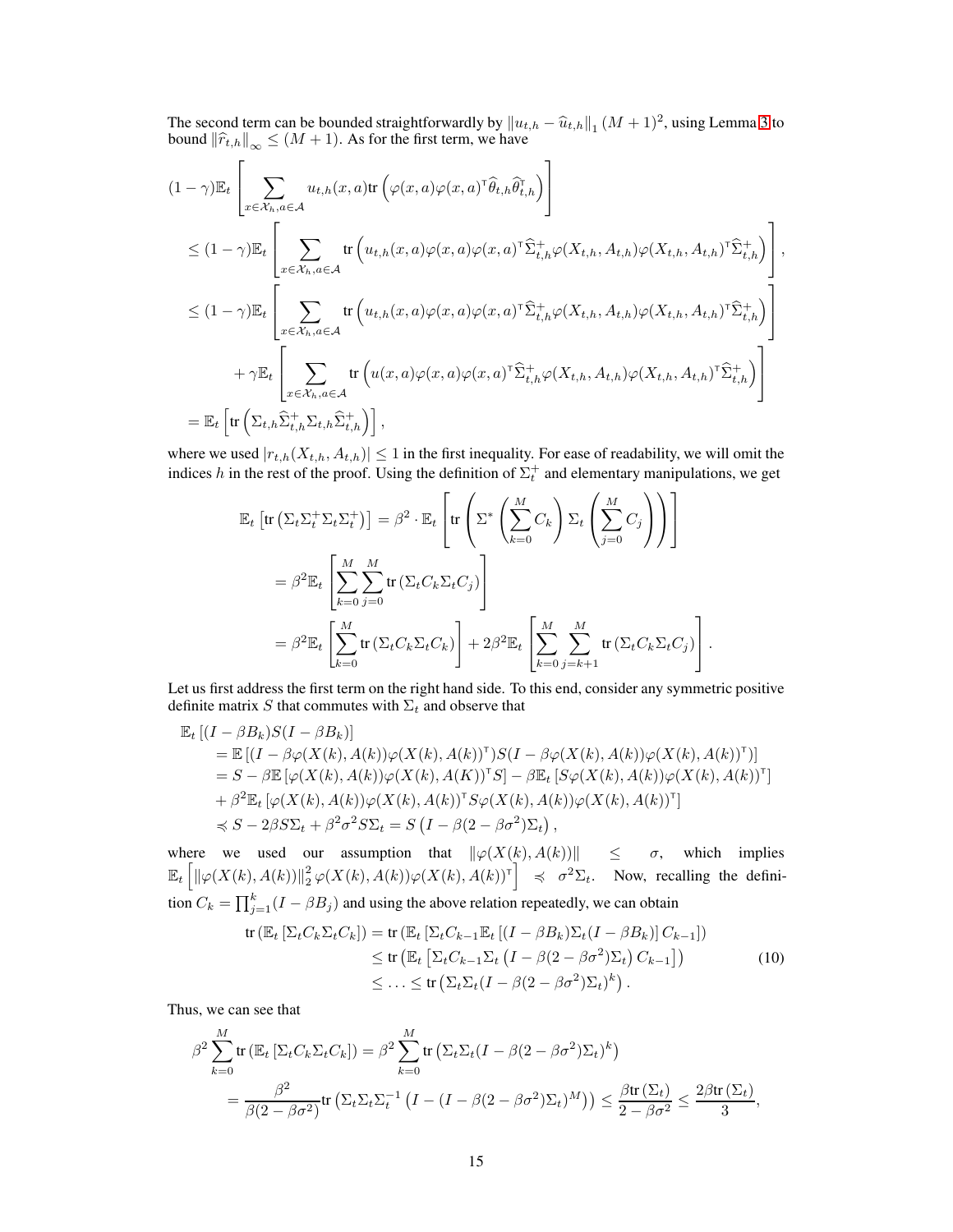The second term can be bounded straightforwardly by  $||u_{t,h} - \hat{u}_{t,h}||_1 (M+1)^2$ , using Lemma [3](#page-8-2) to bound  $||\hat{x}||_1 \leq (M+1)$ . As for the first term, we have bound  $\|\widehat{r}_{t,h}\|_{\infty} \leq (M+1)$ . As for the first term, we have

$$
(1 - \gamma) \mathbb{E}_{t} \left[ \sum_{x \in \mathcal{X}_{h}, a \in \mathcal{A}} u_{t,h}(x, a) \text{tr} \left( \varphi(x, a) \varphi(x, a)^{\top} \widehat{\theta}_{t,h} \widehat{\theta}_{t,h}^{\top} \right) \right]
$$
  
\n
$$
\leq (1 - \gamma) \mathbb{E}_{t} \left[ \sum_{x \in \mathcal{X}_{h}, a \in \mathcal{A}} \text{tr} \left( u_{t,h}(x, a) \varphi(x, a) \varphi(x, a)^{\top} \widehat{\Sigma}_{t,h}^{+} \varphi(X_{t,h}, A_{t,h}) \varphi(X_{t,h}, A_{t,h})^{\top} \widehat{\Sigma}_{t,h}^{+} \right) \right],
$$
  
\n
$$
\leq (1 - \gamma) \mathbb{E}_{t} \left[ \sum_{x \in \mathcal{X}_{h}, a \in \mathcal{A}} \text{tr} \left( u_{t,h}(x, a) \varphi(x, a) \varphi(x, a)^{\top} \widehat{\Sigma}_{t,h}^{+} \varphi(X_{t,h}, A_{t,h}) \varphi(X_{t,h}, A_{t,h})^{\top} \widehat{\Sigma}_{t,h}^{+} \right) \right]
$$
  
\n
$$
+ \gamma \mathbb{E}_{t} \left[ \sum_{x \in \mathcal{X}_{h}, a \in \mathcal{A}} \text{tr} \left( u(x, a) \varphi(x, a) \varphi(x, a)^{\top} \widehat{\Sigma}_{t,h}^{+} \varphi(X_{t,h}, A_{t,h}) \varphi(X_{t,h}, A_{t,h})^{\top} \widehat{\Sigma}_{t,h}^{+} \right) \right]
$$
  
\n
$$
= \mathbb{E}_{t} \left[ \text{tr} \left( \Sigma_{t,h} \widehat{\Sigma}_{t,h}^{+} \Sigma_{t,h} \widehat{\Sigma}_{t,h}^{+} \right) \right],
$$

where we used  $|r_{t,h}(X_{t,h}, A_{t,h})| \leq 1$  in the first inequality. For ease of readability, we will omit the indices h in the rest of the proof. Using the definition of  $\Sigma_t^+$  and elementary manipulations, we get

$$
\mathbb{E}_{t}\left[\text{tr}\left(\Sigma_{t}\Sigma_{t}^{+}\Sigma_{t}\Sigma_{t}^{+}\right)\right] = \beta^{2} \cdot \mathbb{E}_{t}\left[\text{tr}\left(\Sigma^{*}\left(\sum_{k=0}^{M}C_{k}\right)\Sigma_{t}\left(\sum_{j=0}^{M}C_{j}\right)\right)\right]
$$

$$
= \beta^{2}\mathbb{E}_{t}\left[\sum_{k=0}^{M}\sum_{j=0}^{M}\text{tr}\left(\Sigma_{t}C_{k}\Sigma_{t}C_{j}\right)\right]
$$

$$
= \beta^{2}\mathbb{E}_{t}\left[\sum_{k=0}^{M}\text{tr}\left(\Sigma_{t}C_{k}\Sigma_{t}C_{k}\right)\right] + 2\beta^{2}\mathbb{E}_{t}\left[\sum_{k=0}^{M}\sum_{j=k+1}^{M}\text{tr}\left(\Sigma_{t}C_{k}\Sigma_{t}C_{j}\right)\right].
$$

Let us first address the first term on the right hand side. To this end, consider any symmetric positive definite matrix S that commutes with  $\Sigma_t$  and observe that

$$
\mathbb{E}_{t}\left[ (I-\beta B_{k})S(I-\beta B_{k})\right]
$$
\n
$$
= \mathbb{E}\left[ (I-\beta\varphi(X(k),A(k))\varphi(X(k),A(k))^{T})S(I-\beta\varphi(X(k),A(k))\varphi(X(k),A(k))^{T})\right]
$$
\n
$$
= S-\beta \mathbb{E}\left[ \varphi(X(k),A(k))\varphi(X(k),A(K))^{T}S \right] - \beta \mathbb{E}_{t}\left[ S\varphi(X(k),A(k))\varphi(X(k),A(k))^{T}\right]
$$
\n
$$
+ \beta^{2} \mathbb{E}_{t}\left[ \varphi(X(k),A(k))\varphi(X(k),A(k))^{T}S\varphi(X(k),A(k))\varphi(X(k),A(k))^{T}\right]
$$
\n
$$
\preccurlyeq S - 2\beta S\Sigma_{t} + \beta^{2}\sigma^{2} S\Sigma_{t} = S\left( I - \beta(2-\beta\sigma^{2})\Sigma_{t} \right),
$$

where we used our assumption that  $\|\varphi(X(k), A(k))\| \leq \sigma$ , which implies  $\mathbb{E}_t \left[ \left\| \varphi(X(k), A(k)) \right\|^2_2 \varphi(X(k), A(k)) \varphi(X(k), A(k))^{\dagger} \right] \preccurlyeq \sigma^2 \Sigma_t$ . Now, recalling the definition  $C_k = \prod_{j=1}^k (I - \beta B_j)$  and using the above relation repeatedly, we can obtain

<span id="page-14-0"></span>
$$
\operatorname{tr}\left(\mathbb{E}_t\left[\Sigma_t C_k \Sigma_t C_k\right]\right) = \operatorname{tr}\left(\mathbb{E}_t\left[\Sigma_t C_{k-1} \mathbb{E}_t\left[(I - \beta B_k) \Sigma_t (I - \beta B_k)\right] C_{k-1}\right]\right) \leq \operatorname{tr}\left(\mathbb{E}_t\left[\Sigma_t C_{k-1} \Sigma_t \left(I - \beta (2 - \beta \sigma^2) \Sigma_t\right) C_{k-1}\right]\right) \leq \dots \leq \operatorname{tr}\left(\Sigma_t \Sigma_t (I - \beta (2 - \beta \sigma^2) \Sigma_t)^k\right).
$$
\n(10)

Thus, we can see that

$$
\beta^2 \sum_{k=0}^M \text{tr}\left(\mathbb{E}_t \left[\Sigma_t C_k \Sigma_t C_k\right]\right) = \beta^2 \sum_{k=0}^M \text{tr}\left(\Sigma_t \Sigma_t (I - \beta(2 - \beta \sigma^2) \Sigma_t)^k\right)
$$
  
= 
$$
\frac{\beta^2}{\beta(2 - \beta \sigma^2)} \text{tr}\left(\Sigma_t \Sigma_t \Sigma_t^{-1} \left(I - (I - \beta(2 - \beta \sigma^2) \Sigma_t)^M\right)\right) \le \frac{\beta \text{tr}(\Sigma_t)}{2 - \beta \sigma^2} \le \frac{2\beta \text{tr}(\Sigma_t)}{3},
$$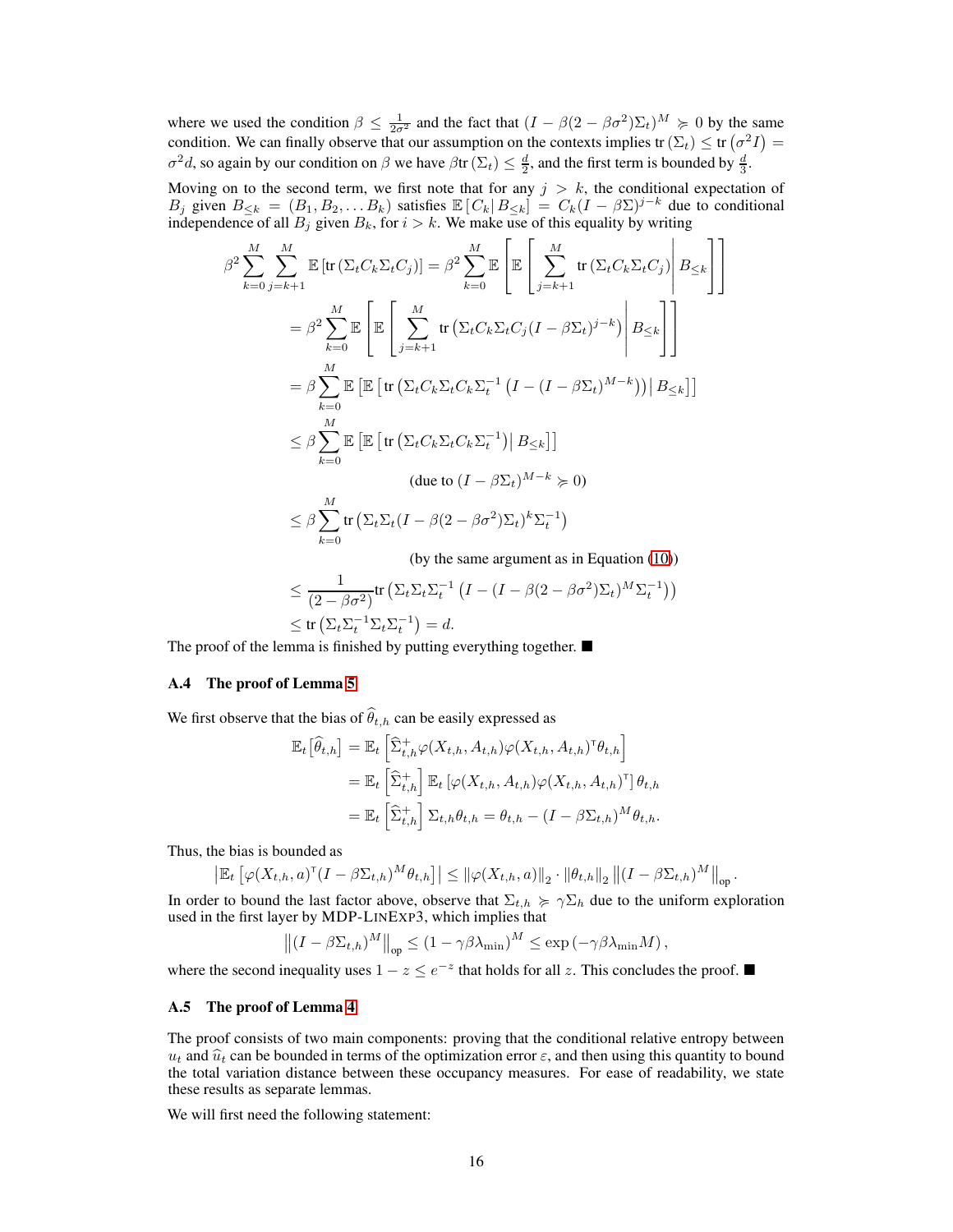where we used the condition  $\beta \leq \frac{1}{2\sigma^2}$  and the fact that  $(I - \beta(2 - \beta\sigma^2)\Sigma_t)^M \geq 0$  by the same condition. We can finally observe that our assumption on the contexts implies tr( $\Sigma_t$ )  $\leq$  tr( $\sigma^2 I$ ) =  $\sigma^2 d$ , so again by our condition on  $\beta$  we have  $\beta$ tr  $(\Sigma_t) \leq \frac{d}{2}$ , and the first term is bounded by  $\frac{d}{3}$ .

Moving on to the second term, we first note that for any  $j > k$ , the conditional expectation of B<sub>j</sub> given  $B_{\leq k} = (B_1, B_2, \ldots, B_k)$  satisfies  $\mathbb{E}[C_k | B_{\leq k}] = C_k (I - \beta \Sigma)^{j-k}$  due to conditional independence of all  $B_i$  given  $B_k$ , for  $i > k$ . We make use of this equality by writing

$$
\beta^2 \sum_{k=0}^M \sum_{j=k+1}^M \mathbb{E} \left[ \text{tr} \left( \Sigma_t C_k \Sigma_t C_j \right) \right] = \beta^2 \sum_{k=0}^M \mathbb{E} \left[ \mathbb{E} \left[ \sum_{j=k+1}^M \text{tr} \left( \Sigma_t C_k \Sigma_t C_j \right) \middle| B_{\leq k} \right] \right]
$$
  
\n
$$
= \beta^2 \sum_{k=0}^M \mathbb{E} \left[ \mathbb{E} \left[ \sum_{j=k+1}^M \text{tr} \left( \Sigma_t C_k \Sigma_t C_j (I - \beta \Sigma_t)^{j-k} \right) \middle| B_{\leq k} \right] \right]
$$
  
\n
$$
= \beta \sum_{k=0}^M \mathbb{E} \left[ \mathbb{E} \left[ \text{tr} \left( \Sigma_t C_k \Sigma_t C_k \Sigma_t^{-1} (I - (I - \beta \Sigma_t)^{M-k}) \right) \middle| B_{\leq k} \right] \right]
$$
  
\n
$$
\leq \beta \sum_{k=0}^M \mathbb{E} \left[ \mathbb{E} \left[ \text{tr} \left( \Sigma_t C_k \Sigma_t C_k \Sigma_t^{-1} \middle| B_{\leq k} \right] \right] \right]
$$
  
\n
$$
\text{(due to } (I - \beta \Sigma_t)^{M-k} \succcurlyeq 0)
$$
  
\n
$$
\leq \beta \sum_{k=0}^M \text{tr} \left( \Sigma_t \Sigma_t (I - \beta (2 - \beta \sigma^2) \Sigma_t)^k \Sigma_t^{-1} \right)
$$

(by the same argument as in Equation [\(10\)](#page-14-0))

.

$$
\leq \frac{1}{(2-\beta\sigma^2)} tr\left(\Sigma_t \Sigma_t \Sigma_t^{-1} \left(I - (I - \beta(2-\beta\sigma^2)\Sigma_t)^M \Sigma_t^{-1}\right)\right)
$$
  

$$
\leq tr\left(\Sigma_t \Sigma_t^{-1} \Sigma_t \Sigma_t^{-1}\right) = d.
$$

The proof of the lemma is finished by putting everything together.  $\blacksquare$ 

#### A.4 The proof of Lemma [5](#page-8-3)

We first observe that the bias of  $\widehat{\theta}_{t,h}$  can be easily expressed as

$$
\mathbb{E}_{t} \left[ \widehat{\theta}_{t,h} \right] = \mathbb{E}_{t} \left[ \widehat{\Sigma}_{t,h}^{+} \varphi(X_{t,h}, A_{t,h}) \varphi(X_{t,h}, A_{t,h})^{\top} \theta_{t,h} \right]
$$
\n
$$
= \mathbb{E}_{t} \left[ \widehat{\Sigma}_{t,h}^{+} \right] \mathbb{E}_{t} \left[ \varphi(X_{t,h}, A_{t,h}) \varphi(X_{t,h}, A_{t,h})^{\top} \right] \theta_{t,h}
$$
\n
$$
= \mathbb{E}_{t} \left[ \widehat{\Sigma}_{t,h}^{+} \right] \Sigma_{t,h} \theta_{t,h} = \theta_{t,h} - (I - \beta \Sigma_{t,h})^{M} \theta_{t,h}.
$$

Thus, the bias is bounded as

$$
\left| \mathbb{E}_t\left[ \varphi(X_{t,h}, a)^\mathsf{T} (I - \beta \Sigma_{t,h})^M \theta_{t,h} \right] \right| \leq \| \varphi(X_{t,h}, a) \|_2 \cdot \| \theta_{t,h} \|_2 \left\| (I - \beta \Sigma_{t,h})^M \right\|_{\text{op}}
$$

In order to bound the last factor above, observe that  $\Sigma_{t,h} \geq \gamma \Sigma_h$  due to the uniform exploration used in the first layer by MDP-LINEXP3, which implies that

$$
\left\| (I - \beta \Sigma_{t,h})^M \right\|_{\text{op}} \le (1 - \gamma \beta \lambda_{\min})^M \le \exp \left( -\gamma \beta \lambda_{\min} M \right),
$$

where the second inequality uses  $1 - z \le e^{-z}$  that holds for all z. This concludes the proof. ■

#### A.5 The proof of Lemma [4](#page-8-4)

The proof consists of two main components: proving that the conditional relative entropy between  $u_t$  and  $\hat{u}_t$  can be bounded in terms of the optimization error  $\varepsilon$ , and then using this quantity to bound the total variation distance between these occupancy measures. For ease of readability, we state these results as separate lemmas.

We will first need the following statement: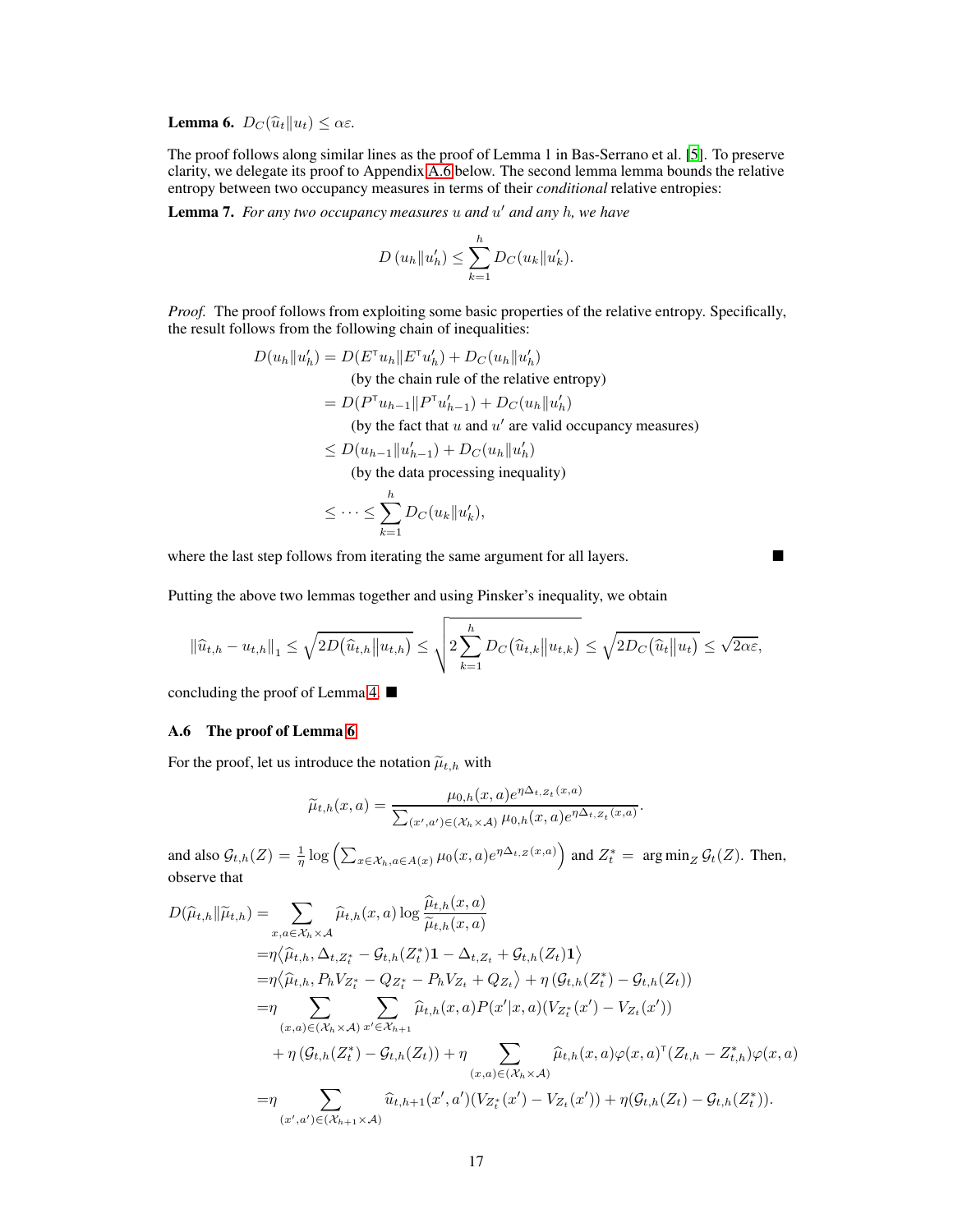<span id="page-16-1"></span>**Lemma 6.**  $D_C(\widehat{u}_t||u_t) \leq \alpha \varepsilon$ .

The proof follows along similar lines as the proof of Lemma 1 in Bas-Serrano et al. [\[5\]](#page-9-9). To preserve clarity, we delegate its proof to Appendix [A.6](#page-16-0) below. The second lemma lemma bounds the relative entropy between two occupancy measures in terms of their *conditional* relative entropies:

Lemma 7. *For any two occupancy measures* u *and* u ′ *and any* h*, we have*

$$
D(u_h||u'_h) \leq \sum_{k=1}^h D_C(u_k||u'_k).
$$

*Proof.* The proof follows from exploiting some basic properties of the relative entropy. Specifically, the result follows from the following chain of inequalities:

$$
D(u_h||u'_h) = D(E^{\mathsf{T}}u_h||E^{\mathsf{T}}u'_h) + D_C(u_h||u'_h)
$$
  
(by the chain rule of the relative entropy)  

$$
= D(P^{\mathsf{T}}u_{h-1}||P^{\mathsf{T}}u'_{h-1}) + D_C(u_h||u'_h)
$$
  
(by the fact that u and u' are valid occupancy measures)  

$$
\leq D(u_{h-1}||u'_{h-1}) + D_C(u_h||u'_h)
$$
  
(by the data processing inequality)

$$
\leq \cdots \leq \sum_{k=1}^h D_C(u_k||u'_k),
$$

where the last step follows from iterating the same argument for all layers.

Putting the above two lemmas together and using Pinsker's inequality, we obtain

$$
\left\|\hat{u}_{t,h} - u_{t,h}\right\|_{1} \leq \sqrt{2D(\hat{u}_{t,h}||u_{t,h})} \leq \sqrt{2\sum_{k=1}^{h}D_{C}(\hat{u}_{t,k}||u_{t,k})} \leq \sqrt{2D_{C}(\hat{u}_{t}||u_{t})} \leq \sqrt{2\alpha\varepsilon},
$$

<span id="page-16-0"></span>concluding the proof of Lemma [4.](#page-8-4)

## A.6 The proof of Lemma [6](#page-16-1)

For the proof, let us introduce the notation  $\widetilde{\mu}_{t,h}$  with

$$
\widetilde{\mu}_{t,h}(x,a) = \frac{\mu_{0,h}(x,a)e^{\eta\Delta_{t,Z_t}(x,a)}}{\sum_{(x',a')\in(\mathcal{X}_h\times\mathcal{A})}\mu_{0,h}(x,a)e^{\eta\Delta_{t,Z_t}(x,a)}}.
$$

and also  $\mathcal{G}_{t,h}(Z) = \frac{1}{\eta} \log \left( \sum_{x \in \mathcal{X}_h, a \in A(x)} \mu_0(x, a) e^{\eta \Delta_{t,Z}(x, a)} \right)$  and  $Z_t^* = \arg \min_Z \mathcal{G}_t(Z)$ . Then, observe that

$$
D(\widehat{\mu}_{t,h}||\widetilde{\mu}_{t,h}) = \sum_{x,a \in \mathcal{X}_h \times \mathcal{A}} \widehat{\mu}_{t,h}(x,a) \log \frac{\widehat{\mu}_{t,h}(x,a)}{\widetilde{\mu}_{t,h}(x,a)}
$$
  
\n
$$
= \eta \langle \widehat{\mu}_{t,h}, \Delta_{t,Z_t^*} - \mathcal{G}_{t,h}(Z_t^*) \mathbf{1} - \Delta_{t,Z_t} + \mathcal{G}_{t,h}(Z_t) \mathbf{1} \rangle
$$
  
\n
$$
= \eta \langle \widehat{\mu}_{t,h}, P_h V_{Z_t^*} - Q_{Z_t^*} - P_h V_{Z_t} + Q_{Z_t} \rangle + \eta \left( \mathcal{G}_{t,h}(Z_t^*) - \mathcal{G}_{t,h}(Z_t) \right)
$$
  
\n
$$
= \eta \sum_{(x,a) \in (\mathcal{X}_h \times \mathcal{A})} \sum_{x' \in \mathcal{X}_{h+1}} \widehat{\mu}_{t,h}(x,a) P(x'|x,a) (V_{Z_t^*}(x') - V_{Z_t}(x'))
$$
  
\n
$$
+ \eta \left( \mathcal{G}_{t,h}(Z_t^*) - \mathcal{G}_{t,h}(Z_t) \right) + \eta \sum_{(x,a) \in (\mathcal{X}_h \times \mathcal{A})} \widehat{\mu}_{t,h}(x,a) \varphi(x,a)^{\top} (Z_{t,h} - Z_{t,h}^*) \varphi(x,a)
$$
  
\n
$$
= \eta \sum_{(x',a') \in (\mathcal{X}_{h+1} \times \mathcal{A})} \widehat{u}_{t,h+1}(x',a') (V_{Z_t^*}(x') - V_{Z_t}(x')) + \eta \left( \mathcal{G}_{t,h}(Z_t) - \mathcal{G}_{t,h}(Z_t^*) \right).
$$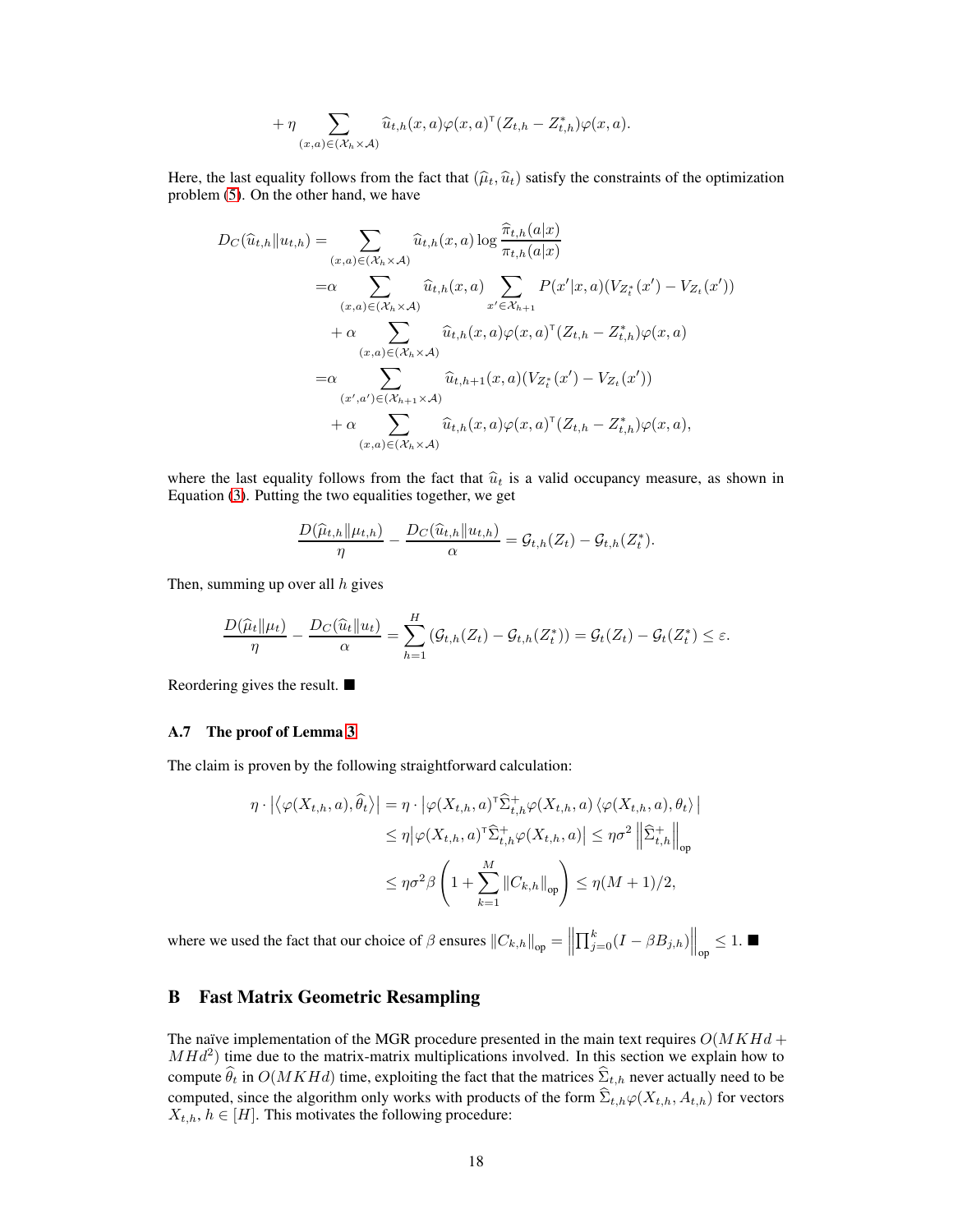$$
+\eta \sum_{(x,a)\in (\mathcal{X}_h\times \mathcal{A})} \widehat{u}_{t,h}(x,a) \varphi(x,a)^{\mathsf{T}} (Z_{t,h}-Z_{t,h}^*) \varphi(x,a).
$$

Here, the last equality follows from the fact that  $(\hat{\mu}_t, \hat{u}_t)$  satisfy the constraints of the optimization problem [\(5\)](#page-4-0). On the other hand, we have

$$
D_{C}(\widehat{u}_{t,h}||u_{t,h}) = \sum_{(x,a)\in(\mathcal{X}_{h}\times\mathcal{A})} \widehat{u}_{t,h}(x,a) \log \frac{\widehat{\pi}_{t,h}(a|x)}{\pi_{t,h}(a|x)} \n= \alpha \sum_{(x,a)\in(\mathcal{X}_{h}\times\mathcal{A})} \widehat{u}_{t,h}(x,a) \sum_{x'\in\mathcal{X}_{h+1}} P(x'|x,a) (V_{Z_{t}^{*}}(x') - V_{Z_{t}}(x')) \n+ \alpha \sum_{(x,a)\in(\mathcal{X}_{h}\times\mathcal{A})} \widehat{u}_{t,h}(x,a) \varphi(x,a)^{\top} (Z_{t,h} - Z_{t,h}^{*}) \varphi(x,a) \n= \alpha \sum_{(x',a')\in(\mathcal{X}_{h+1}\times\mathcal{A})} \widehat{u}_{t,h+1}(x,a) (V_{Z_{t}^{*}}(x') - V_{Z_{t}}(x')) \n+ \alpha \sum_{(x,a)\in(\mathcal{X}_{h}\times\mathcal{A})} \widehat{u}_{t,h}(x,a) \varphi(x,a)^{\top} (Z_{t,h} - Z_{t,h}^{*}) \varphi(x,a),
$$

where the last equality follows from the fact that  $\hat{u}_t$  is a valid occupancy measure, as shown in Equation [\(3\)](#page-3-2). Putting the two equalities together, we get

$$
\frac{D(\widehat{\mu}_{t,h} \| \mu_{t,h})}{\eta} - \frac{D_C(\widehat{u}_{t,h} \| u_{t,h})}{\alpha} = \mathcal{G}_{t,h}(Z_t) - \mathcal{G}_{t,h}(Z_t^*).
$$

Then, summing up over all  $h$  gives

$$
\frac{D(\widehat{\mu}_t||\mu_t)}{\eta} - \frac{D_C(\widehat{u}_t||u_t)}{\alpha} = \sum_{h=1}^H (\mathcal{G}_{t,h}(Z_t) - \mathcal{G}_{t,h}(Z_t^*)) = \mathcal{G}_t(Z_t) - \mathcal{G}_t(Z_t^*) \le \varepsilon.
$$

Reordering gives the result.

#### A.7 The proof of Lemma [3](#page-8-2)

The claim is proven by the following straightforward calculation:

$$
\eta \cdot \left| \left\langle \varphi(X_{t,h}, a), \hat{\theta}_t \right\rangle \right| = \eta \cdot \left| \varphi(X_{t,h}, a)^\top \hat{\Sigma}_{t,h}^+ \varphi(X_{t,h}, a) \left\langle \varphi(X_{t,h}, a), \theta_t \right\rangle \right|
$$
  

$$
\leq \eta \left| \varphi(X_{t,h}, a)^\top \hat{\Sigma}_{t,h}^+ \varphi(X_{t,h}, a) \right| \leq \eta \sigma^2 \left\| \hat{\Sigma}_{t,h}^+ \right\|_{\text{op}}
$$
  

$$
\leq \eta \sigma^2 \beta \left( 1 + \sum_{k=1}^M \left\| C_{k,h} \right\|_{\text{op}} \right) \leq \eta (M+1)/2,
$$

where we used the fact that our choice of β ensures kCk,hkop =  $\left\| \prod_{j=0}^k (I - \beta B_{j,h}) \right\|_{op} \leq 1.$ 

# <span id="page-17-0"></span>B Fast Matrix Geometric Resampling

The naïve implementation of the MGR procedure presented in the main text requires  $O(MKHd +$  $MHd<sup>2</sup>$ ) time due to the matrix-matrix multiplications involved. In this section we explain how to compute  $\hat{\theta}_t$  in  $O(MKHd)$  time, exploiting the fact that the matrices  $\hat{\Sigma}_{t,h}$  never actually need to be computed, since the algorithm only works with products of the form  $\hat{\Sigma}_{t,h}\varphi(X_{t,h}, A_{t,h})$  for vectors  $X_{t,h}, h \in [H]$ . This motivates the following procedure: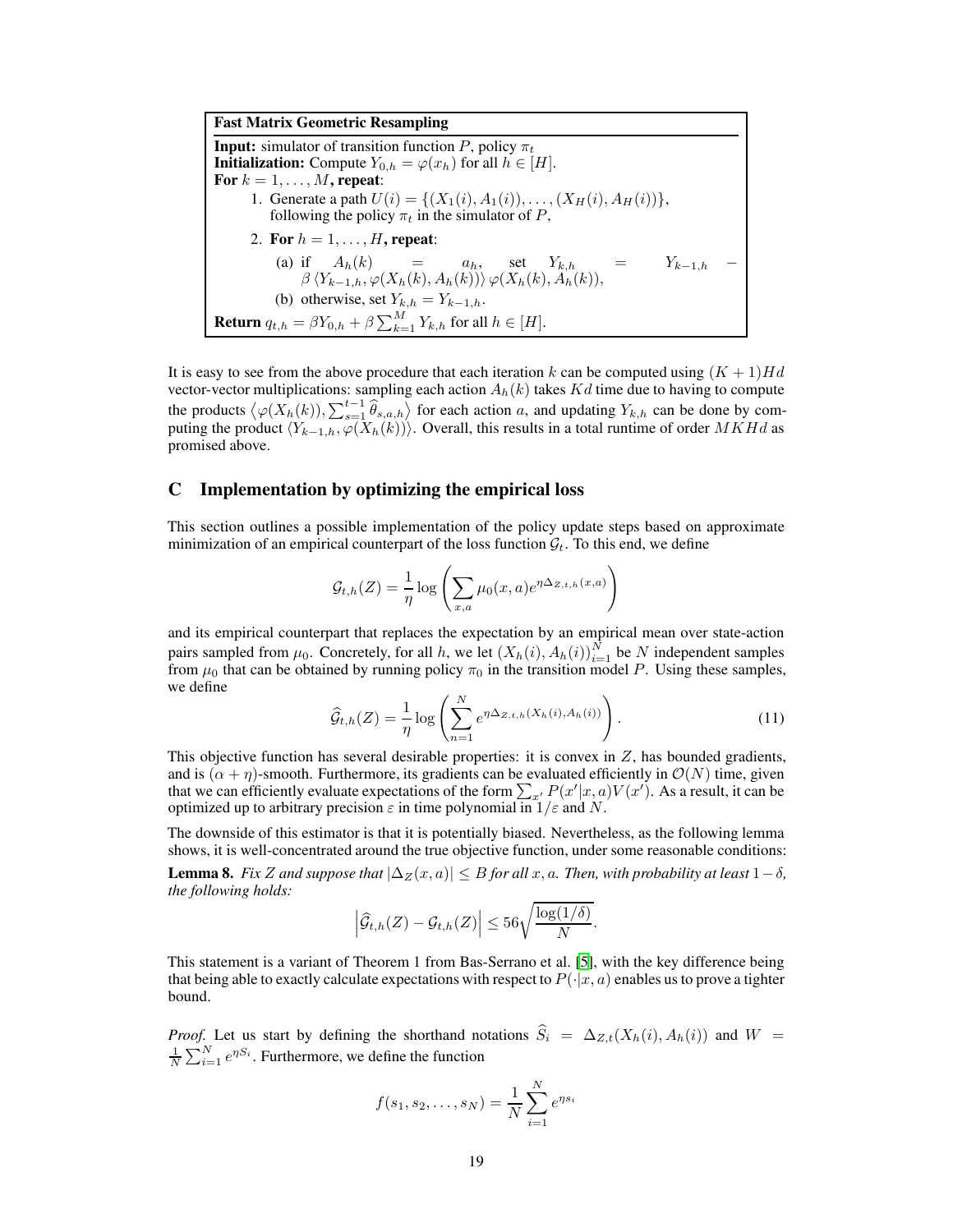Fast Matrix Geometric Resampling **Input:** simulator of transition function P, policy  $\pi_t$ **Initialization:** Compute  $Y_{0,h} = \varphi(x_h)$  for all  $h \in [H]$ . For  $k = 1, \ldots, M$ , repeat: 1. Generate a path  $U(i) = \{(X_1(i), A_1(i)), \ldots, (X_H(i), A_H(i))\},\$ following the policy  $\pi_t$  in the simulator of P, 2. For  $h = 1, \ldots, H$ , repeat: (a) if  $A_h(k) = a_h$ , set  $Y_{k,h} = Y_{k-1,h}$  $\beta\langle Y_{k-1,h}, \varphi(X_h(k), A_h(k))\rangle \varphi(X_h(k), A_h(k)),$ (b) otherwise, set  $Y_{k,h} = Y_{k-1,h}$ . **Return**  $q_{t,h} = \beta Y_{0,h} + \beta \sum_{k=1}^{M} Y_{k,h}$  for all  $h \in [H]$ .

It is easy to see from the above procedure that each iteration k can be computed using  $(K + 1)Hd$ vector-vector multiplications: sampling each action  $A_h(k)$  takes  $Kd$  time due to having to compute the products  $\langle \varphi(X_h(k)), \sum_{s=1}^{t-1} \hat{\theta}_{s,a,h} \rangle$  for each action a, and updating  $Y_{k,h}$  can be done by computing the product  $\langle Y_{k-1,h}, \varphi(X_h(k)) \rangle$ . Overall, this results in a total runtime of order MKHd as promised above.

## <span id="page-18-0"></span>C Implementation by optimizing the empirical loss

This section outlines a possible implementation of the policy update steps based on approximate minimization of an empirical counterpart of the loss function  $\mathcal{G}_t$ . To this end, we define

$$
\mathcal{G}_{t,h}(Z) = \frac{1}{\eta} \log \left( \sum_{x,a} \mu_0(x,a) e^{\eta \Delta_{Z,t,h}(x,a)} \right)
$$

and its empirical counterpart that replaces the expectation by an empirical mean over state-action pairs sampled from  $\mu_0$ . Concretely, for all h, we let  $(X_h(i), A_h(i))_{i=1}^N$  be N independent samples from  $\mu_0$  that can be obtained by running policy  $\pi_0$  in the transition model P. Using these samples, we define

$$
\widehat{\mathcal{G}}_{t,h}(Z) = \frac{1}{\eta} \log \left( \sum_{n=1}^{N} e^{\eta \Delta_{Z,t,h}(X_h(i), A_h(i))} \right). \tag{11}
$$

This objective function has several desirable properties: it is convex in  $Z$ , has bounded gradients, and is  $(\alpha + \eta)$ -smooth. Furthermore, its gradients can be evaluated efficiently in  $\mathcal{O}(N)$  time, given that we can efficiently evaluate expectations of the form  $\sum_{x'} P(x'|x, a)V(x')$ . As a result, it can be optimized up to arbitrary precision  $\varepsilon$  in time polynomial in  $1/\varepsilon$  and N.

The downside of this estimator is that it is potentially biased. Nevertheless, as the following lemma shows, it is well-concentrated around the true objective function, under some reasonable conditions:

**Lemma 8.** Fix Z and suppose that  $|\Delta z(x, a)| \leq B$  for all x, a. Then, with probability at least  $1-\delta$ , *the following holds:*

$$
\left|\widehat{\mathcal{G}}_{t,h}(Z)-\mathcal{G}_{t,h}(Z)\right|\leq 56\sqrt{\frac{\log(1/\delta)}{N}}.
$$

This statement is a variant of Theorem 1 from Bas-Serrano et al. [\[5](#page-9-9)], with the key difference being that being able to exactly calculate expectations with respect to  $P(\cdot|x, a)$  enables us to prove a tighter bound.

*Proof.* Let us start by defining the shorthand notations  $\hat{S}_i = \Delta_{Z,t}(X_h(i), A_h(i))$  and  $W =$  $\frac{1}{N} \sum_{i=1}^{N} e^{\eta S_i}$ . Furthermore, we define the function

$$
f(s_1, s_2, \dots, s_N) = \frac{1}{N} \sum_{i=1}^{N} e^{\eta s_i}
$$